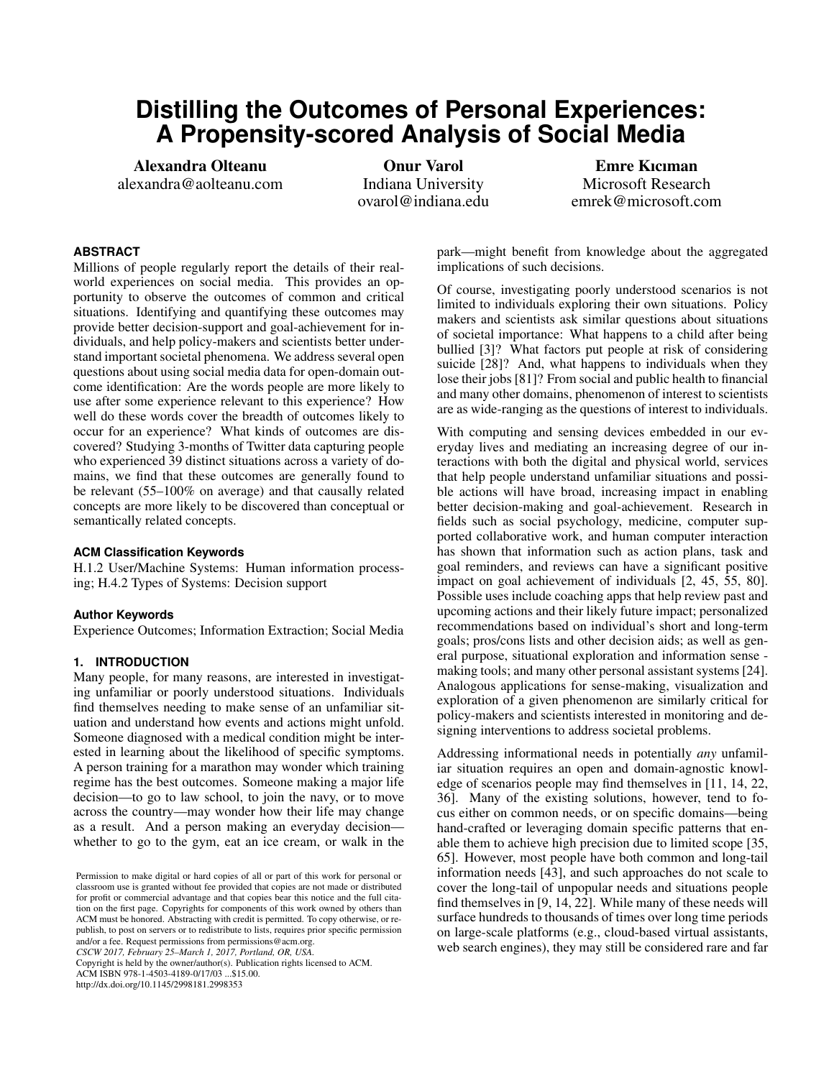# **Distilling the Outcomes of Personal Experiences: A Propensity-scored Analysis of Social Media**

Alexandra Olteanu alexandra@aolteanu.com

Onur Varol Indiana University ovarol@indiana.edu

Emre Kıcıman Microsoft Research emrek@microsoft.com

# **ABSTRACT**

Millions of people regularly report the details of their realworld experiences on social media. This provides an opportunity to observe the outcomes of common and critical situations. Identifying and quantifying these outcomes may provide better decision-support and goal-achievement for individuals, and help policy-makers and scientists better understand important societal phenomena. We address several open questions about using social media data for open-domain outcome identification: Are the words people are more likely to use after some experience relevant to this experience? How well do these words cover the breadth of outcomes likely to occur for an experience? What kinds of outcomes are discovered? Studying 3-months of Twitter data capturing people who experienced 39 distinct situations across a variety of domains, we find that these outcomes are generally found to be relevant (55–100% on average) and that causally related concepts are more likely to be discovered than conceptual or semantically related concepts.

## **ACM Classification Keywords**

H.1.2 User/Machine Systems: Human information processing; H.4.2 Types of Systems: Decision support

## **Author Keywords**

Experience Outcomes; Information Extraction; Social Media

# **1. INTRODUCTION**

Many people, for many reasons, are interested in investigating unfamiliar or poorly understood situations. Individuals find themselves needing to make sense of an unfamiliar situation and understand how events and actions might unfold. Someone diagnosed with a medical condition might be interested in learning about the likelihood of specific symptoms. A person training for a marathon may wonder which training regime has the best outcomes. Someone making a major life decision—to go to law school, to join the navy, or to move across the country—may wonder how their life may change as a result. And a person making an everyday decision whether to go to the gym, eat an ice cream, or walk in the

*CSCW 2017, February 25–March 1, 2017, Portland, OR, USA.*

Copyright is held by the owner/author(s). Publication rights licensed to ACM. ACM ISBN 978-1-4503-4189-0/17/03 ...\$15.00.

http://dx.doi.org/10.1145/2998181.2998353

park—might benefit from knowledge about the aggregated implications of such decisions.

Of course, investigating poorly understood scenarios is not limited to individuals exploring their own situations. Policy makers and scientists ask similar questions about situations of societal importance: What happens to a child after being bullied [\[3\]](#page-13-0)? What factors put people at risk of considering suicide [\[28\]](#page-14-0)? And, what happens to individuals when they lose their jobs [\[81\]](#page-15-0)? From social and public health to financial and many other domains, phenomenon of interest to scientists are as wide-ranging as the questions of interest to individuals.

With computing and sensing devices embedded in our everyday lives and mediating an increasing degree of our interactions with both the digital and physical world, services that help people understand unfamiliar situations and possible actions will have broad, increasing impact in enabling better decision-making and goal-achievement. Research in fields such as social psychology, medicine, computer supported collaborative work, and human computer interaction has shown that information such as action plans, task and goal reminders, and reviews can have a significant positive impact on goal achievement of individuals [\[2,](#page-13-1) [45,](#page-14-1) [55,](#page-15-1) [80\]](#page-15-2). Possible uses include coaching apps that help review past and upcoming actions and their likely future impact; personalized recommendations based on individual's short and long-term goals; pros/cons lists and other decision aids; as well as general purpose, situational exploration and information sense making tools; and many other personal assistant systems [\[24\]](#page-13-2). Analogous applications for sense-making, visualization and exploration of a given phenomenon are similarly critical for policy-makers and scientists interested in monitoring and designing interventions to address societal problems.

Addressing informational needs in potentially *any* unfamiliar situation requires an open and domain-agnostic knowledge of scenarios people may find themselves in [\[11,](#page-13-3) [14,](#page-13-4) [22,](#page-13-5) [36\]](#page-14-2). Many of the existing solutions, however, tend to focus either on common needs, or on specific domains—being hand-crafted or leveraging domain specific patterns that enable them to achieve high precision due to limited scope [\[35,](#page-14-3) [65\]](#page-15-3). However, most people have both common and long-tail information needs [\[43\]](#page-14-4), and such approaches do not scale to cover the long-tail of unpopular needs and situations people find themselves in [\[9,](#page-13-6) [14,](#page-13-4) [22\]](#page-13-5). While many of these needs will surface hundreds to thousands of times over long time periods on large-scale platforms (e.g., cloud-based virtual assistants, web search engines), they may still be considered rare and far

Permission to make digital or hard copies of all or part of this work for personal or classroom use is granted without fee provided that copies are not made or distributed for profit or commercial advantage and that copies bear this notice and the full citation on the first page. Copyrights for components of this work owned by others than ACM must be honored. Abstracting with credit is permitted. To copy otherwise, or republish, to post on servers or to redistribute to lists, requires prior specific permission and/or a fee. Request permissions from permissions@acm.org.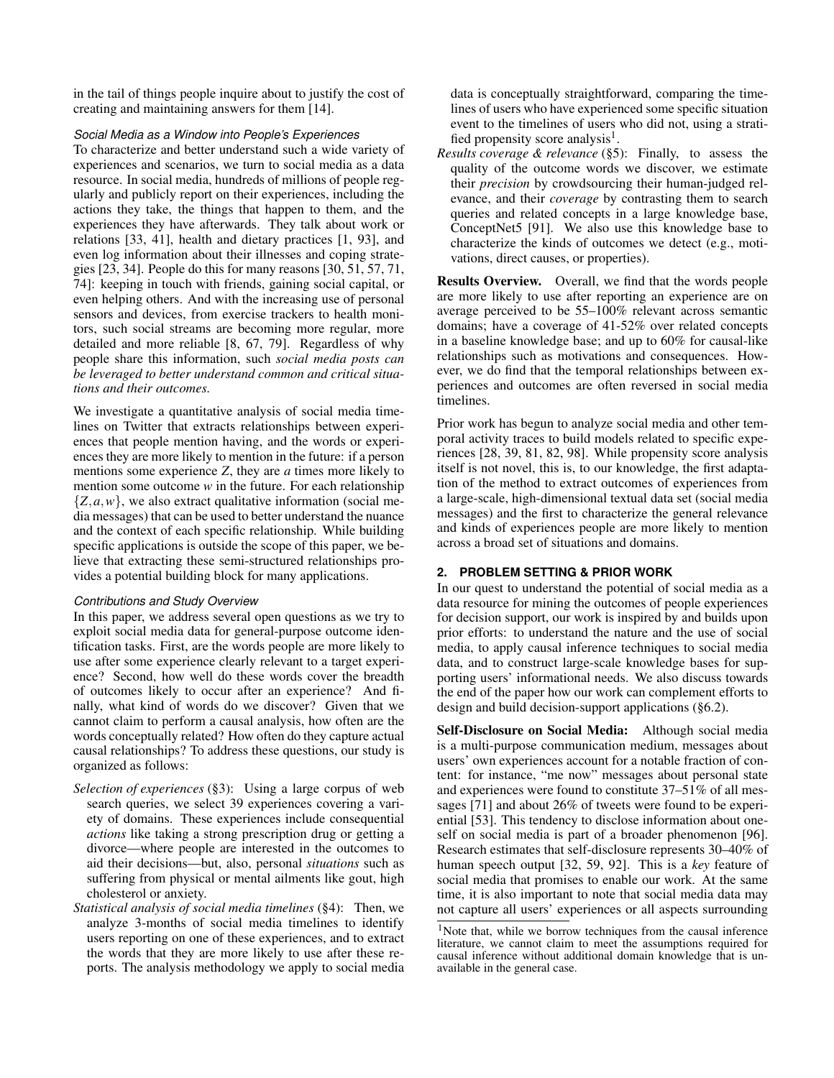in the tail of things people inquire about to justify the cost of creating and maintaining answers for them [\[14\]](#page-13-4).

## *Social Media as a Window into People's Experiences*

To characterize and better understand such a wide variety of experiences and scenarios, we turn to social media as a data resource. In social media, hundreds of millions of people regularly and publicly report on their experiences, including the actions they take, the things that happen to them, and the experiences they have afterwards. They talk about work or relations [\[33,](#page-14-5) [41\]](#page-14-6), health and dietary practices [\[1,](#page-13-7) [93\]](#page-16-0), and even log information about their illnesses and coping strategies [\[23,](#page-13-8) [34\]](#page-14-7). People do this for many reasons [\[30,](#page-14-8) [51,](#page-14-9) [57,](#page-15-4) [71,](#page-15-5) [74\]](#page-15-6): keeping in touch with friends, gaining social capital, or even helping others. And with the increasing use of personal sensors and devices, from exercise trackers to health monitors, such social streams are becoming more regular, more detailed and more reliable [\[8,](#page-13-9) [67,](#page-15-7) [79\]](#page-15-8). Regardless of why people share this information, such *social media posts can be leveraged to better understand common and critical situations and their outcomes.*

We investigate a quantitative analysis of social media timelines on Twitter that extracts relationships between experiences that people mention having, and the words or experiences they are more likely to mention in the future: if a person mentions some experience *Z*, they are *a* times more likely to mention some outcome *w* in the future. For each relationship  $\{Z,a,w\}$ , we also extract qualitative information (social media messages) that can be used to better understand the nuance and the context of each specific relationship. While building specific applications is outside the scope of this paper, we believe that extracting these semi-structured relationships provides a potential building block for many applications.

# *Contributions and Study Overview*

In this paper, we address several open questions as we try to exploit social media data for general-purpose outcome identification tasks. First, are the words people are more likely to use after some experience clearly relevant to a target experience? Second, how well do these words cover the breadth of outcomes likely to occur after an experience? And finally, what kind of words do we discover? Given that we cannot claim to perform a causal analysis, how often are the words conceptually related? How often do they capture actual causal relationships? To address these questions, our study is organized as follows:

*Selection of experiences* ([§3\)](#page-2-0): Using a large corpus of web search queries, we select 39 experiences covering a variety of domains. These experiences include consequential *actions* like taking a strong prescription drug or getting a divorce—where people are interested in the outcomes to aid their decisions—but, also, personal *situations* such as suffering from physical or mental ailments like gout, high cholesterol or anxiety.

*Statistical analysis of social media timelines* ([§4\)](#page-4-0): Then, we analyze 3-months of social media timelines to identify users reporting on one of these experiences, and to extract the words that they are more likely to use after these reports. The analysis methodology we apply to social media

data is conceptually straightforward, comparing the timelines of users who have experienced some specific situation event to the timelines of users who did not, using a strati-fied propensity score analysis<sup>[1](#page-1-0)</sup>.

*Results coverage & relevance* ([§5\)](#page-5-0): Finally, to assess the quality of the outcome words we discover, we estimate their *precision* by crowdsourcing their human-judged relevance, and their *coverage* by contrasting them to search queries and related concepts in a large knowledge base, ConceptNet5 [\[91\]](#page-16-1). We also use this knowledge base to characterize the kinds of outcomes we detect (e.g., motivations, direct causes, or properties).

Results Overview. Overall, we find that the words people are more likely to use after reporting an experience are on average perceived to be 55–100% relevant across semantic domains; have a coverage of 41-52% over related concepts in a baseline knowledge base; and up to 60% for causal-like relationships such as motivations and consequences. However, we do find that the temporal relationships between experiences and outcomes are often reversed in social media timelines.

Prior work has begun to analyze social media and other temporal activity traces to build models related to specific experiences [\[28,](#page-14-0) [39,](#page-14-10) [81,](#page-15-0) [82,](#page-16-2) [98\]](#page-16-3). While propensity score analysis itself is not novel, this is, to our knowledge, the first adaptation of the method to extract outcomes of experiences from a large-scale, high-dimensional textual data set (social media messages) and the first to characterize the general relevance and kinds of experiences people are more likely to mention across a broad set of situations and domains.

# **2. PROBLEM SETTING & PRIOR WORK**

In our quest to understand the potential of social media as a data resource for mining the outcomes of people experiences for decision support, our work is inspired by and builds upon prior efforts: to understand the nature and the use of social media, to apply causal inference techniques to social media data, and to construct large-scale knowledge bases for supporting users' informational needs. We also discuss towards the end of the paper how our work can complement efforts to design and build decision-support applications ([§6.2\)](#page-11-0).

Self-Disclosure on Social Media: Although social media is a multi-purpose communication medium, messages about users' own experiences account for a notable fraction of content: for instance, "me now" messages about personal state and experiences were found to constitute 37–51% of all messages [\[71\]](#page-15-5) and about 26% of tweets were found to be experiential [\[53\]](#page-14-11). This tendency to disclose information about oneself on social media is part of a broader phenomenon [\[96\]](#page-16-4). Research estimates that self-disclosure represents 30–40% of human speech output [\[32,](#page-14-12) [59,](#page-15-9) [92\]](#page-16-5). This is a *key* feature of social media that promises to enable our work. At the same time, it is also important to note that social media data may not capture all users' experiences or all aspects surrounding

<span id="page-1-0"></span><sup>&</sup>lt;sup>1</sup>Note that, while we borrow techniques from the causal inference literature, we cannot claim to meet the assumptions required for causal inference without additional domain knowledge that is unavailable in the general case.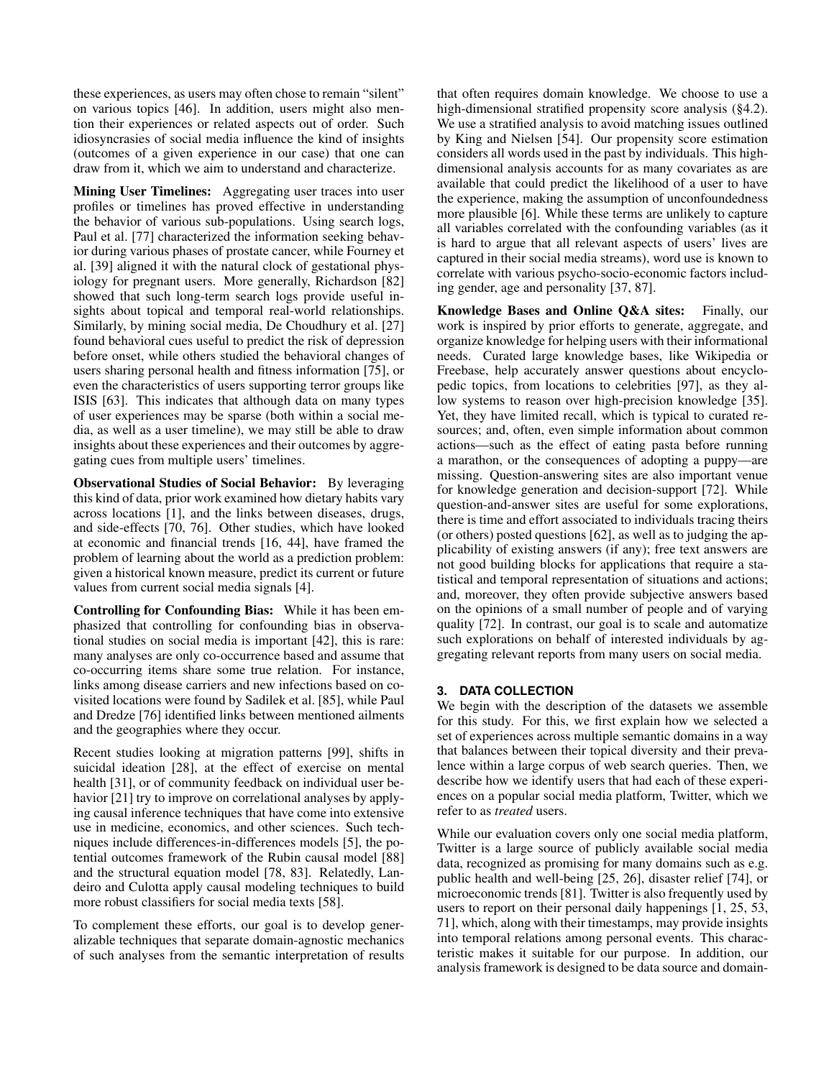these experiences, as users may often chose to remain "silent" on various topics [\[46\]](#page-14-13). In addition, users might also mention their experiences or related aspects out of order. Such idiosyncrasies of social media influence the kind of insights (outcomes of a given experience in our case) that one can draw from it, which we aim to understand and characterize.

Mining User Timelines: Aggregating user traces into user profiles or timelines has proved effective in understanding the behavior of various sub-populations. Using search logs, Paul et al. [\[77\]](#page-15-10) characterized the information seeking behavior during various phases of prostate cancer, while Fourney et al. [\[39\]](#page-14-10) aligned it with the natural clock of gestational physiology for pregnant users. More generally, Richardson [\[82\]](#page-16-2) showed that such long-term search logs provide useful insights about topical and temporal real-world relationships. Similarly, by mining social media, De Choudhury et al. [\[27\]](#page-14-14) found behavioral cues useful to predict the risk of depression before onset, while others studied the behavioral changes of users sharing personal health and fitness information [\[75\]](#page-15-11), or even the characteristics of users supporting terror groups like ISIS [\[63\]](#page-15-12). This indicates that although data on many types of user experiences may be sparse (both within a social media, as well as a user timeline), we may still be able to draw insights about these experiences and their outcomes by aggregating cues from multiple users' timelines.

Observational Studies of Social Behavior: By leveraging this kind of data, prior work examined how dietary habits vary across locations [\[1\]](#page-13-7), and the links between diseases, drugs, and side-effects [\[70,](#page-15-13) [76\]](#page-15-14). Other studies, which have looked at economic and financial trends [\[16,](#page-13-10) [44\]](#page-14-15), have framed the problem of learning about the world as a prediction problem: given a historical known measure, predict its current or future values from current social media signals [\[4\]](#page-13-11).

Controlling for Confounding Bias: While it has been emphasized that controlling for confounding bias in observational studies on social media is important [\[42\]](#page-14-16), this is rare: many analyses are only co-occurrence based and assume that co-occurring items share some true relation. For instance, links among disease carriers and new infections based on covisited locations were found by Sadilek et al. [\[85\]](#page-16-6), while Paul and Dredze [\[76\]](#page-15-14) identified links between mentioned ailments and the geographies where they occur.

Recent studies looking at migration patterns [\[99\]](#page-16-7), shifts in suicidal ideation [\[28\]](#page-14-0), at the effect of exercise on mental health [\[31\]](#page-14-17), or of community feedback on individual user be-havior [\[21\]](#page-13-12) try to improve on correlational analyses by applying causal inference techniques that have come into extensive use in medicine, economics, and other sciences. Such techniques include differences-in-differences models [\[5\]](#page-13-13), the potential outcomes framework of the Rubin causal model [\[88\]](#page-16-8) and the structural equation model [\[78,](#page-15-15) [83\]](#page-16-9). Relatedly, Landeiro and Culotta apply causal modeling techniques to build more robust classifiers for social media texts [\[58\]](#page-15-16).

To complement these efforts, our goal is to develop generalizable techniques that separate domain-agnostic mechanics of such analyses from the semantic interpretation of results

that often requires domain knowledge. We choose to use a high-dimensional stratified propensity score analysis ([§4.2\)](#page-4-1). We use a stratified analysis to avoid matching issues outlined by King and Nielsen [\[54\]](#page-15-17). Our propensity score estimation considers all words used in the past by individuals. This highdimensional analysis accounts for as many covariates as are available that could predict the likelihood of a user to have the experience, making the assumption of unconfoundedness more plausible [\[6\]](#page-13-14). While these terms are unlikely to capture all variables correlated with the confounding variables (as it is hard to argue that all relevant aspects of users' lives are captured in their social media streams), word use is known to correlate with various psycho-socio-economic factors including gender, age and personality [\[37,](#page-14-18) [87\]](#page-16-10).

Knowledge Bases and Online Q&A sites: Finally, our work is inspired by prior efforts to generate, aggregate, and organize knowledge for helping users with their informational needs. Curated large knowledge bases, like Wikipedia or Freebase, help accurately answer questions about encyclopedic topics, from locations to celebrities [\[97\]](#page-16-11), as they allow systems to reason over high-precision knowledge [\[35\]](#page-14-3). Yet, they have limited recall, which is typical to curated resources; and, often, even simple information about common actions—such as the effect of eating pasta before running a marathon, or the consequences of adopting a puppy—are missing. Question-answering sites are also important venue for knowledge generation and decision-support [\[72\]](#page-15-18). While question-and-answer sites are useful for some explorations, there is time and effort associated to individuals tracing theirs (or others) posted questions [\[62\]](#page-15-19), as well as to judging the applicability of existing answers (if any); free text answers are not good building blocks for applications that require a statistical and temporal representation of situations and actions; and, moreover, they often provide subjective answers based on the opinions of a small number of people and of varying quality [\[72\]](#page-15-18). In contrast, our goal is to scale and automatize such explorations on behalf of interested individuals by aggregating relevant reports from many users on social media.

# <span id="page-2-0"></span>**3. DATA COLLECTION**

We begin with the description of the datasets we assemble for this study. For this, we first explain how we selected a set of experiences across multiple semantic domains in a way that balances between their topical diversity and their prevalence within a large corpus of web search queries. Then, we describe how we identify users that had each of these experiences on a popular social media platform, Twitter, which we refer to as *treated* users.

While our evaluation covers only one social media platform, Twitter is a large source of publicly available social media data, recognized as promising for many domains such as e.g. public health and well-being [\[25,](#page-13-15) [26\]](#page-13-16), disaster relief [\[74\]](#page-15-6), or microeconomic trends [\[81\]](#page-15-0). Twitter is also frequently used by users to report on their personal daily happenings [\[1,](#page-13-7) [25,](#page-13-15) [53,](#page-14-11) [71\]](#page-15-5), which, along with their timestamps, may provide insights into temporal relations among personal events. This characteristic makes it suitable for our purpose. In addition, our analysis framework is designed to be data source and domain-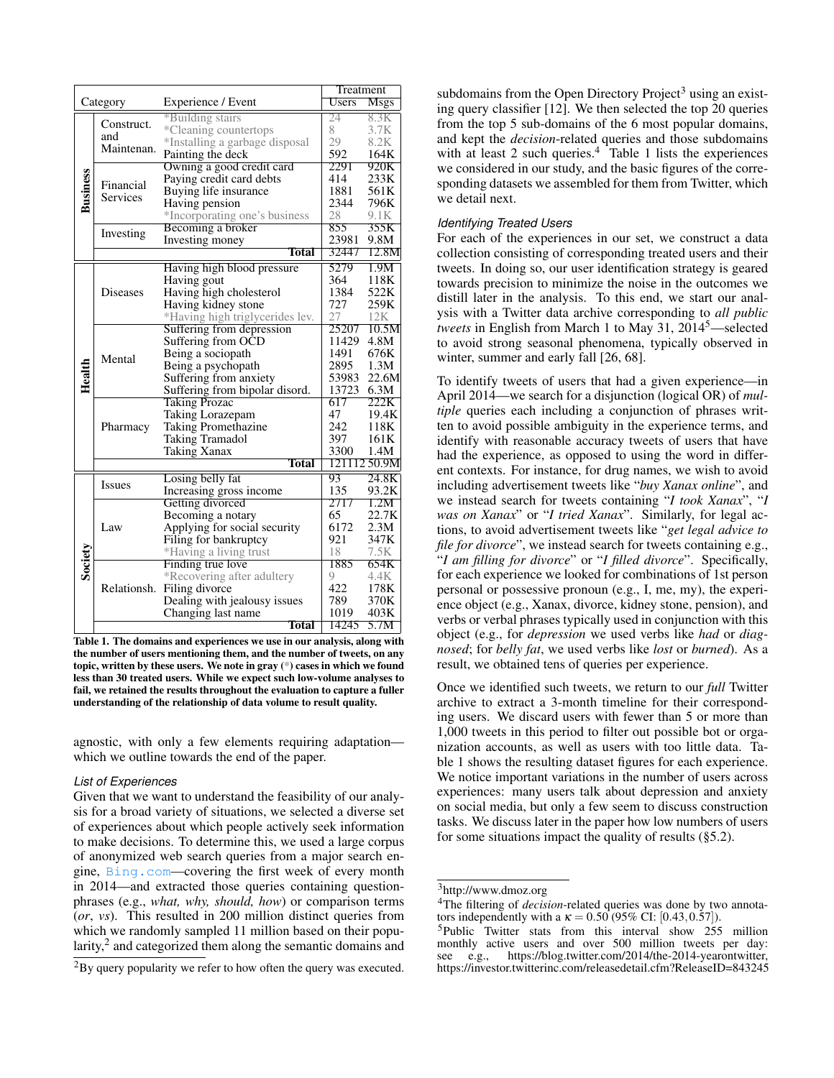|          |               |                                 | Treatment |                      |  |
|----------|---------------|---------------------------------|-----------|----------------------|--|
| Category |               | Experience / Event              | Users     | <b>Msgs</b>          |  |
|          |               | *Building stairs                | 24        | 8.3K                 |  |
|          | Construct.    | *Cleaning countertops           | 8         | 3.7K                 |  |
|          | and           | *Installing a garbage disposal  | 29        | 8.2K                 |  |
|          | Maintenan.    | Painting the deck               | 592       | 164K                 |  |
|          |               | Owning a good credit card       | 2291      | 920K                 |  |
| Business | Financial     | Paying credit card debts        | 414       | 233K                 |  |
|          | Services      | Buying life insurance           | 1881      | 561K                 |  |
|          |               | Having pension                  | 2344      | 796K                 |  |
|          |               | *Incorporating one's business   | 28        | 9.1K                 |  |
|          | Investing     | Becoming a broker               | 855       | 355K                 |  |
|          |               | Investing money                 | 23981     | 9.8M                 |  |
|          |               | Total                           | 32447     | 12.8M                |  |
|          |               | Having high blood pressure      | 5279      | 1.9M                 |  |
|          |               | Having gout                     | 364       | 118K                 |  |
|          | Diseases      | Having high cholesterol         | 1384      | 522K                 |  |
|          |               | Having kidney stone             | 727       | 259K                 |  |
|          |               | *Having high triglycerides lev. | 27        | 12K                  |  |
|          | Mental        | Suffering from depression       | 25207     | 10.5M                |  |
|          |               | Suffering from OCD              | 11429     | 4.8M                 |  |
|          |               | Being a sociopath               | 1491      | 676K                 |  |
| Health   |               | Being a psychopath              | 2895      | 1.3M                 |  |
|          |               | Suffering from anxiety          | 53983     | 22.6M                |  |
|          |               | Suffering from bipolar disord.  | 13723     | 6.3M                 |  |
|          | Pharmacy      | <b>Taking Prozac</b>            | 617       | 222K                 |  |
|          |               | Taking Lorazepam                | 47        | 19.4K                |  |
|          |               | Taking Promethazine             | 242       | 118K                 |  |
|          |               | <b>Taking Tramadol</b>          | 397       | 161K                 |  |
|          |               | Taking Xanax                    | 3300      | 1.4M                 |  |
|          |               | Total                           |           | 121112 <i>5</i> 0.9M |  |
|          | <b>Issues</b> | Losing belly fat                | 93        | 24.8K                |  |
|          |               | Increasing gross income         | 135       | 93.2K                |  |
|          |               | Getting divorced                | 2717      | 1.2M                 |  |
| Society  | Law           | Becoming a notary               | 65        | 22.7K                |  |
|          |               | Applying for social security    | 6172      | 2.3M                 |  |
|          |               | Filing for bankruptcy           | 921       | 347K                 |  |
|          |               | *Having a living trust          | 18        | 7.5K                 |  |
|          |               | Finding true love               | 1885      | 654K                 |  |
|          |               | *Recovering after adultery      | 9         | 4.4K                 |  |
|          | Relationsh.   | Filing divorce                  | 422       | 178K                 |  |
|          |               | Dealing with jealousy issues    | 789       | 370K                 |  |
|          |               | Changing last name              | 1019      | 403K                 |  |
|          |               | Total                           | 14245     | 5.7M                 |  |

<span id="page-3-3"></span>Table 1. The domains and experiences we use in our analysis, along with the number of users mentioning them, and the number of tweets, on any topic, written by these users. We note in gray (\*) cases in which we found less than 30 treated users. While we expect such low-volume analyses to fail, we retained the results throughout the evaluation to capture a fuller understanding of the relationship of data volume to result quality.

agnostic, with only a few elements requiring adaptation which we outline towards the end of the paper.

## *List of Experiences*

Given that we want to understand the feasibility of our analysis for a broad variety of situations, we selected a diverse set of experiences about which people actively seek information to make decisions. To determine this, we used a large corpus of anonymized web search queries from a major search engine, <Bing.com>—covering the first week of every month in 2014—and extracted those queries containing questionphrases (e.g., *what, why, should, how*) or comparison terms (*or*, *vs*). This resulted in 200 million distinct queries from which we randomly sampled 11 million based on their popu-larity,<sup>[2](#page-3-0)</sup> and categorized them along the semantic domains and

<span id="page-3-0"></span> $^{2}$ By query popularity we refer to how often the query was executed.

subdomains from the Open Directory Project<sup>[3](#page-3-1)</sup> using an existing query classifier [\[12\]](#page-13-17). We then selected the top 20 queries from the top 5 sub-domains of the 6 most popular domains, and kept the *decision*-related queries and those subdomains with at least 2 such queries. $4$  Table [1](#page-3-3) lists the experiences we considered in our study, and the basic figures of the corresponding datasets we assembled for them from Twitter, which we detail next.

## *Identifying Treated Users*

For each of the experiences in our set, we construct a data collection consisting of corresponding treated users and their tweets. In doing so, our user identification strategy is geared towards precision to minimize the noise in the outcomes we distill later in the analysis. To this end, we start our analysis with a Twitter data archive corresponding to *all public tweets* in English from March 1 to May 31, 2014[5](#page-3-4)—selected to avoid strong seasonal phenomena, typically observed in winter, summer and early fall [\[26,](#page-13-16) [68\]](#page-15-20).

To identify tweets of users that had a given experience—in April 2014—we search for a disjunction (logical OR) of *multiple* queries each including a conjunction of phrases written to avoid possible ambiguity in the experience terms, and identify with reasonable accuracy tweets of users that have had the experience, as opposed to using the word in different contexts. For instance, for drug names, we wish to avoid including advertisement tweets like "*buy Xanax online*", and we instead search for tweets containing "*I took Xanax*", "*I was on Xanax*" or "*I tried Xanax*". Similarly, for legal actions, to avoid advertisement tweets like "*get legal advice to file for divorce*", we instead search for tweets containing e.g., "*I am filling for divorce*" or "*I filled divorce*". Specifically, for each experience we looked for combinations of 1st person personal or possessive pronoun (e.g., I, me, my), the experience object (e.g., Xanax, divorce, kidney stone, pension), and verbs or verbal phrases typically used in conjunction with this object (e.g., for *depression* we used verbs like *had* or *diagnosed*; for *belly fat*, we used verbs like *lost* or *burned*). As a result, we obtained tens of queries per experience.

Once we identified such tweets, we return to our *full* Twitter archive to extract a 3-month timeline for their corresponding users. We discard users with fewer than 5 or more than 1,000 tweets in this period to filter out possible bot or organization accounts, as well as users with too little data. Table [1](#page-3-3) shows the resulting dataset figures for each experience. We notice important variations in the number of users across experiences: many users talk about depression and anxiety on social media, but only a few seem to discuss construction tasks. We discuss later in the paper how low numbers of users for some situations impact the quality of results  $(\S 5.2)$ .

<span id="page-3-1"></span><sup>3</sup>http://www.dmoz.org

<span id="page-3-2"></span><sup>&</sup>lt;sup>4</sup>The filtering of *decision*-related queries was done by two annotators independently with a  $\kappa = 0.50$  (95% CI: [0.43, 0.57]).

<span id="page-3-4"></span><sup>&</sup>lt;sup>5</sup>Public Twitter stats from this interval show 255 million monthly active users and over 500 million tweets per day: see e.g., https://blog.twitter.com/2014/the-2014-yearontwitter, https://investor.twitterinc.com/releasedetail.cfm?ReleaseID=843245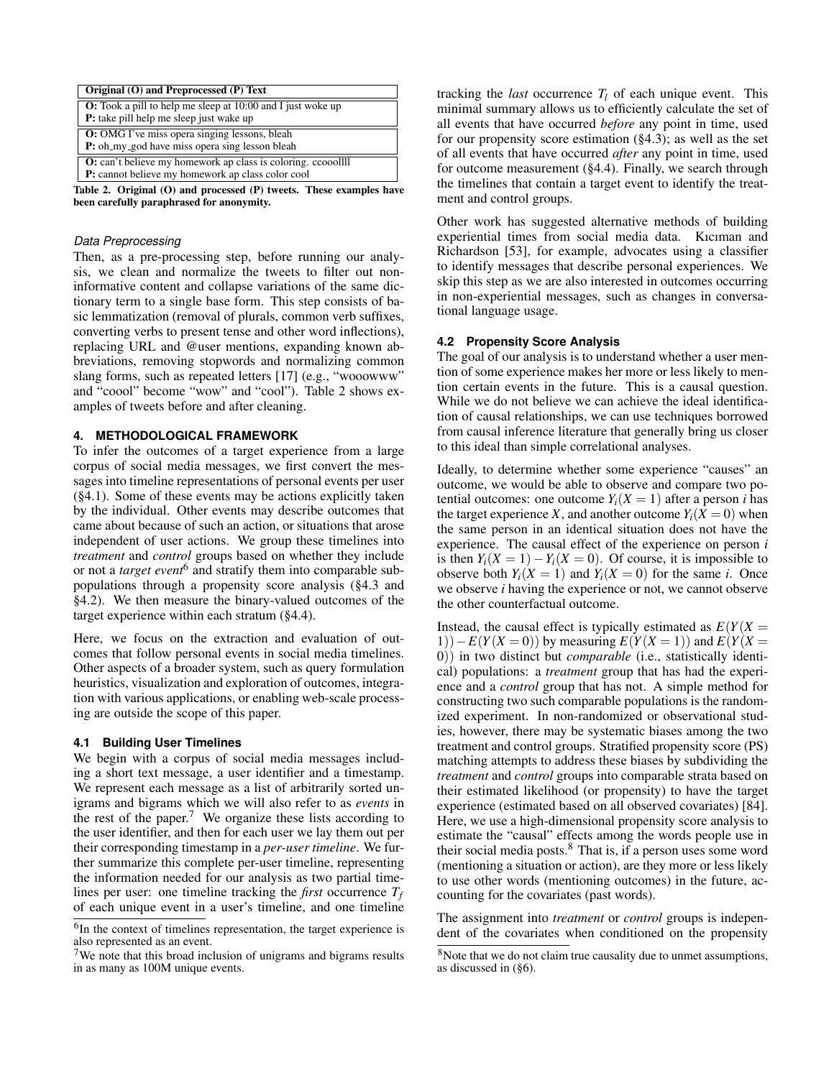| Original (O) and Preprocessed (P) Text                               |  |  |  |  |
|----------------------------------------------------------------------|--|--|--|--|
| <b>O:</b> Took a pill to help me sleep at $10:00$ and I just woke up |  |  |  |  |
| P: take pill help me sleep just wake up                              |  |  |  |  |
| <b>O:</b> OMG I've miss opera singing lessons, bleah                 |  |  |  |  |
| P: oh_my_god have miss opera sing lesson bleah                       |  |  |  |  |
| <b>O:</b> can't believe my homework ap class is coloring. ccooollll  |  |  |  |  |
| <b>P:</b> cannot believe my homework ap class color cool             |  |  |  |  |

<span id="page-4-2"></span>Table 2. Original (O) and processed (P) tweets. These examples have been carefully paraphrased for anonymity.

## *Data Preprocessing*

Then, as a pre-processing step, before running our analysis, we clean and normalize the tweets to filter out noninformative content and collapse variations of the same dictionary term to a single base form. This step consists of basic lemmatization (removal of plurals, common verb suffixes, converting verbs to present tense and other word inflections), replacing URL and @user mentions, expanding known abbreviations, removing stopwords and normalizing common slang forms, such as repeated letters [\[17\]](#page-13-18) (e.g., "wooowww" and "coool" become "wow" and "cool"). Table [2](#page-4-2) shows examples of tweets before and after cleaning.

# <span id="page-4-0"></span>**4. METHODOLOGICAL FRAMEWORK**

To infer the outcomes of a target experience from a large corpus of social media messages, we first convert the messages into timeline representations of personal events per user ([§4.1\)](#page-4-3). Some of these events may be actions explicitly taken by the individual. Other events may describe outcomes that came about because of such an action, or situations that arose independent of user actions. We group these timelines into *treatment* and *control* groups based on whether they include or not a *target event*[6](#page-4-4) and stratify them into comparable subpopulations through a propensity score analysis ([§4.3](#page-5-1) and [§4.2\)](#page-4-1). We then measure the binary-valued outcomes of the target experience within each stratum ([§4.4\)](#page-5-2).

Here, we focus on the extraction and evaluation of outcomes that follow personal events in social media timelines. Other aspects of a broader system, such as query formulation heuristics, visualization and exploration of outcomes, integration with various applications, or enabling web-scale processing are outside the scope of this paper.

## <span id="page-4-3"></span>**4.1 Building User Timelines**

We begin with a corpus of social media messages including a short text message, a user identifier and a timestamp. We represent each message as a list of arbitrarily sorted unigrams and bigrams which we will also refer to as *events* in the rest of the paper.<sup>[7](#page-4-5)</sup> We organize these lists according to the user identifier, and then for each user we lay them out per their corresponding timestamp in a *per-user timeline*. We further summarize this complete per-user timeline, representing the information needed for our analysis as two partial timelines per user: one timeline tracking the *first* occurrence  $T_f$ of each unique event in a user's timeline, and one timeline tracking the *last* occurrence  $T_l$  of each unique event. This minimal summary allows us to efficiently calculate the set of all events that have occurred *before* any point in time, used for our propensity score estimation ([§4.3\)](#page-5-1); as well as the set of all events that have occurred *after* any point in time, used for outcome measurement ([§4.4\)](#page-5-2). Finally, we search through the timelines that contain a target event to identify the treatment and control groups.

Other work has suggested alternative methods of building experiential times from social media data. Kıcıman and Richardson [\[53\]](#page-14-11), for example, advocates using a classifier to identify messages that describe personal experiences. We skip this step as we are also interested in outcomes occurring in non-experiential messages, such as changes in conversational language usage.

## <span id="page-4-1"></span>**4.2 Propensity Score Analysis**

The goal of our analysis is to understand whether a user mention of some experience makes her more or less likely to mention certain events in the future. This is a causal question. While we do not believe we can achieve the ideal identification of causal relationships, we can use techniques borrowed from causal inference literature that generally bring us closer to this ideal than simple correlational analyses.

Ideally, to determine whether some experience "causes" an outcome, we would be able to observe and compare two potential outcomes: one outcome  $Y_i(X = 1)$  after a person *i* has the target experience *X*, and another outcome  $Y_i(X = 0)$  when the same person in an identical situation does not have the experience. The causal effect of the experience on person *i* is then  $Y_i(X = 1) - Y_i(X = 0)$ . Of course, it is impossible to observe both  $Y_i(X = 1)$  and  $Y_i(X = 0)$  for the same *i*. Once we observe *i* having the experience or not, we cannot observe the other counterfactual outcome.

Instead, the causal effect is typically estimated as  $E(Y|X)$ 1))− $E(Y(X = 0))$  by measuring  $E(Y(X = 1))$  and  $E(Y(X = 1))$ 0)) in two distinct but *comparable* (i.e., statistically identical) populations: a *treatment* group that has had the experience and a *control* group that has not. A simple method for constructing two such comparable populations is the randomized experiment. In non-randomized or observational studies, however, there may be systematic biases among the two treatment and control groups. Stratified propensity score (PS) matching attempts to address these biases by subdividing the *treatment* and *control* groups into comparable strata based on their estimated likelihood (or propensity) to have the target experience (estimated based on all observed covariates) [\[84\]](#page-16-12). Here, we use a high-dimensional propensity score analysis to estimate the "causal" effects among the words people use in their social media posts. $8$  That is, if a person uses some word (mentioning a situation or action), are they more or less likely to use other words (mentioning outcomes) in the future, accounting for the covariates (past words).

The assignment into *treatment* or *control* groups is independent of the covariates when conditioned on the propensity

<span id="page-4-4"></span><sup>&</sup>lt;sup>6</sup>In the context of timelines representation, the target experience is also represented as an event.

<span id="page-4-5"></span><sup>&</sup>lt;sup>7</sup>We note that this broad inclusion of unigrams and bigrams results in as many as 100M unique events.

<span id="page-4-6"></span> $8$ Note that we do not claim true causality due to unmet assumptions, as discussed in ([§6\)](#page-10-0).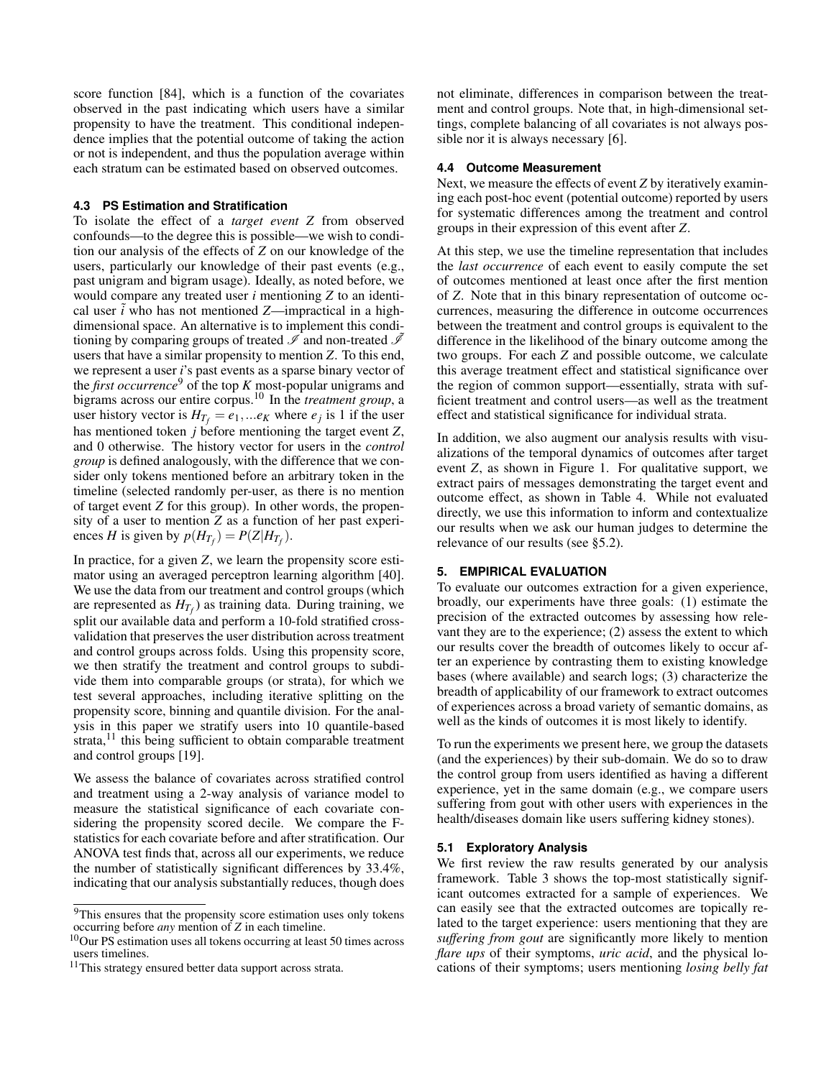score function [\[84\]](#page-16-12), which is a function of the covariates observed in the past indicating which users have a similar propensity to have the treatment. This conditional independence implies that the potential outcome of taking the action or not is independent, and thus the population average within each stratum can be estimated based on observed outcomes.

# <span id="page-5-1"></span>**4.3 PS Estimation and Stratification**

To isolate the effect of a *target event Z* from observed confounds—to the degree this is possible—we wish to condition our analysis of the effects of *Z* on our knowledge of the users, particularly our knowledge of their past events (e.g., past unigram and bigram usage). Ideally, as noted before, we would compare any treated user *i* mentioning *Z* to an identical user  $\tilde{i}$  who has not mentioned *Z*—impractical in a highdimensional space. An alternative is to implement this conditioning by comparing groups of treated  $\mathscr I$  and non-treated  $\mathscr I$ users that have a similar propensity to mention *Z*. To this end, we represent a user *i*'s past events as a sparse binary vector of the *first occurrence*[9](#page-5-3) of the top *K* most-popular unigrams and bigrams across our entire corpus.[10](#page-5-4) In the *treatment group*, a user history vector is  $H_{T_f} = e_1, \dots e_K$  where  $e_j$  is 1 if the user has mentioned token *j* before mentioning the target event *Z*, and 0 otherwise. The history vector for users in the *control group* is defined analogously, with the difference that we consider only tokens mentioned before an arbitrary token in the timeline (selected randomly per-user, as there is no mention of target event *Z* for this group). In other words, the propensity of a user to mention *Z* as a function of her past experiences *H* is given by  $p(H_{T_f}) = P(Z|H_{T_f})$ .

In practice, for a given *Z*, we learn the propensity score estimator using an averaged perceptron learning algorithm [\[40\]](#page-14-19). We use the data from our treatment and control groups (which are represented as  $H_{T_f}$ ) as training data. During training, we split our available data and perform a 10-fold stratified crossvalidation that preserves the user distribution across treatment and control groups across folds. Using this propensity score, we then stratify the treatment and control groups to subdivide them into comparable groups (or strata), for which we test several approaches, including iterative splitting on the propensity score, binning and quantile division. For the analysis in this paper we stratify users into 10 quantile-based strata, $11$  this being sufficient to obtain comparable treatment and control groups [\[19\]](#page-13-19).

We assess the balance of covariates across stratified control and treatment using a 2-way analysis of variance model to measure the statistical significance of each covariate considering the propensity scored decile. We compare the Fstatistics for each covariate before and after stratification. Our ANOVA test finds that, across all our experiments, we reduce the number of statistically significant differences by 33.4%, indicating that our analysis substantially reduces, though does not eliminate, differences in comparison between the treatment and control groups. Note that, in high-dimensional settings, complete balancing of all covariates is not always possible nor it is always necessary [\[6\]](#page-13-14).

## <span id="page-5-2"></span>**4.4 Outcome Measurement**

Next, we measure the effects of event *Z* by iteratively examining each post-hoc event (potential outcome) reported by users for systematic differences among the treatment and control groups in their expression of this event after *Z*.

At this step, we use the timeline representation that includes the *last occurrence* of each event to easily compute the set of outcomes mentioned at least once after the first mention of *Z*. Note that in this binary representation of outcome occurrences, measuring the difference in outcome occurrences between the treatment and control groups is equivalent to the difference in the likelihood of the binary outcome among the two groups. For each *Z* and possible outcome, we calculate this average treatment effect and statistical significance over the region of common support—essentially, strata with sufficient treatment and control users—as well as the treatment effect and statistical significance for individual strata.

In addition, we also augment our analysis results with visualizations of the temporal dynamics of outcomes after target event *Z*, as shown in Figure [1.](#page-6-1) For qualitative support, we extract pairs of messages demonstrating the target event and outcome effect, as shown in Table [4.](#page-7-0) While not evaluated directly, we use this information to inform and contextualize our results when we ask our human judges to determine the relevance of our results (see [§5.2\)](#page-6-0).

# <span id="page-5-0"></span>**5. EMPIRICAL EVALUATION**

To evaluate our outcomes extraction for a given experience, broadly, our experiments have three goals: (1) estimate the precision of the extracted outcomes by assessing how relevant they are to the experience; (2) assess the extent to which our results cover the breadth of outcomes likely to occur after an experience by contrasting them to existing knowledge bases (where available) and search logs; (3) characterize the breadth of applicability of our framework to extract outcomes of experiences across a broad variety of semantic domains, as well as the kinds of outcomes it is most likely to identify.

To run the experiments we present here, we group the datasets (and the experiences) by their sub-domain. We do so to draw the control group from users identified as having a different experience, yet in the same domain (e.g., we compare users suffering from gout with other users with experiences in the health/diseases domain like users suffering kidney stones).

# <span id="page-5-6"></span>**5.1 Exploratory Analysis**

We first review the raw results generated by our analysis framework. Table [3](#page-7-1) shows the top-most statistically significant outcomes extracted for a sample of experiences. We can easily see that the extracted outcomes are topically related to the target experience: users mentioning that they are *suffering from gout* are significantly more likely to mention *flare ups* of their symptoms, *uric acid*, and the physical locations of their symptoms; users mentioning *losing belly fat*

<span id="page-5-3"></span><sup>&</sup>lt;sup>9</sup>This ensures that the propensity score estimation uses only tokens occurring before *any* mention of *Z* in each timeline.

<span id="page-5-4"></span><sup>10</sup>Our PS estimation uses all tokens occurring at least 50 times across users timelines.

<span id="page-5-5"></span><sup>&</sup>lt;sup>11</sup>This strategy ensured better data support across strata.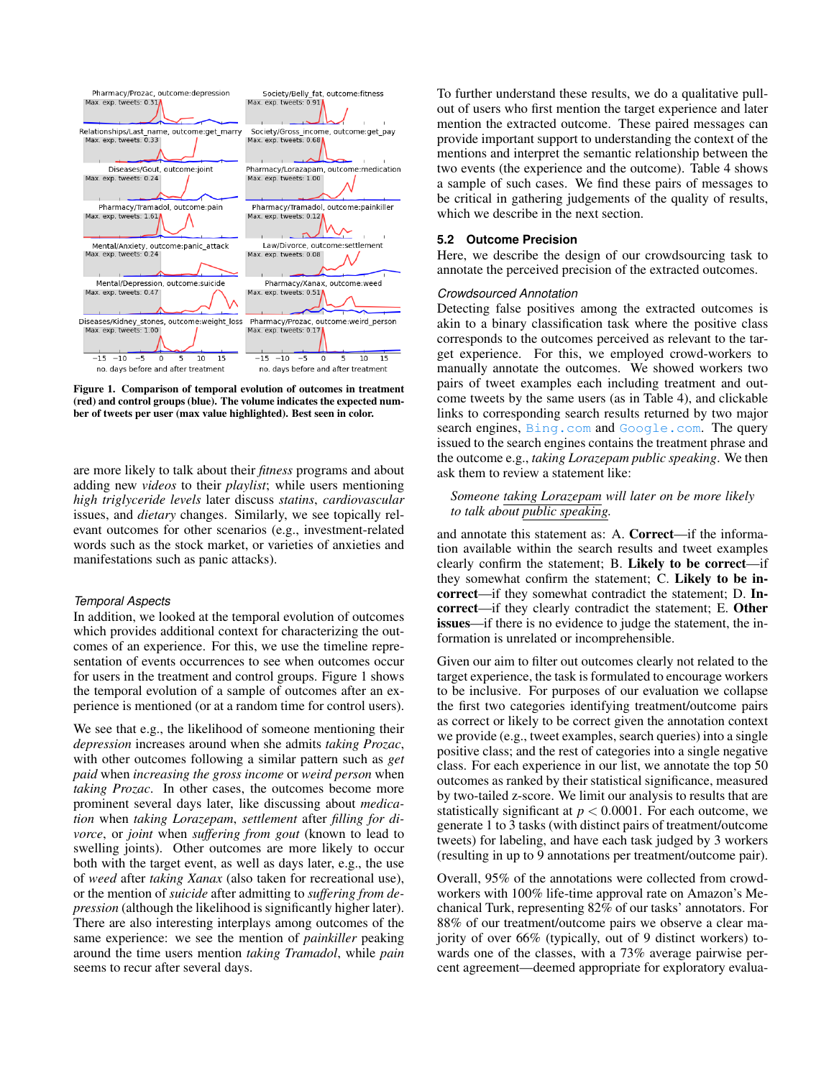

<span id="page-6-1"></span>Figure 1. Comparison of temporal evolution of outcomes in treatment (red) and control groups (blue). The volume indicates the expected number of tweets per user (max value highlighted). Best seen in color.

are more likely to talk about their *fitness* programs and about adding new *videos* to their *playlist*; while users mentioning *high triglyceride levels* later discuss *statins*, *cardiovascular* issues, and *dietary* changes. Similarly, we see topically relevant outcomes for other scenarios (e.g., investment-related words such as the stock market, or varieties of anxieties and manifestations such as panic attacks).

#### *Temporal Aspects*

In addition, we looked at the temporal evolution of outcomes which provides additional context for characterizing the outcomes of an experience. For this, we use the timeline representation of events occurrences to see when outcomes occur for users in the treatment and control groups. Figure [1](#page-6-1) shows the temporal evolution of a sample of outcomes after an experience is mentioned (or at a random time for control users).

We see that e.g., the likelihood of someone mentioning their *depression* increases around when she admits *taking Prozac*, with other outcomes following a similar pattern such as *get paid* when *increasing the gross income* or *weird person* when *taking Prozac*. In other cases, the outcomes become more prominent several days later, like discussing about *medication* when *taking Lorazepam*, *settlement* after *filling for divorce*, or *joint* when *suffering from gout* (known to lead to swelling joints). Other outcomes are more likely to occur both with the target event, as well as days later, e.g., the use of *weed* after *taking Xanax* (also taken for recreational use), or the mention of *suicide* after admitting to *suffering from depression* (although the likelihood is significantly higher later). There are also interesting interplays among outcomes of the same experience: we see the mention of *painkiller* peaking around the time users mention *taking Tramadol*, while *pain* seems to recur after several days.

To further understand these results, we do a qualitative pullout of users who first mention the target experience and later mention the extracted outcome. These paired messages can provide important support to understanding the context of the mentions and interpret the semantic relationship between the two events (the experience and the outcome). Table [4](#page-7-0) shows a sample of such cases. We find these pairs of messages to be critical in gathering judgements of the quality of results, which we describe in the next section.

# <span id="page-6-0"></span>**5.2 Outcome Precision**

Here, we describe the design of our crowdsourcing task to annotate the perceived precision of the extracted outcomes.

#### *Crowdsourced Annotation*

Detecting false positives among the extracted outcomes is akin to a binary classification task where the positive class corresponds to the outcomes perceived as relevant to the target experience. For this, we employed crowd-workers to manually annotate the outcomes. We showed workers two pairs of tweet examples each including treatment and outcome tweets by the same users (as in Table [4\)](#page-7-0), and clickable links to corresponding search results returned by two major search engines, <Bing.com> and <Google.com>. The query issued to the search engines contains the treatment phrase and the outcome e.g., *taking Lorazepam public speaking*. We then ask them to review a statement like:

# *Someone taking Lorazepam will later on be more likely to talk about public speaking.*

and annotate this statement as: A. Correct—if the information available within the search results and tweet examples clearly confirm the statement; B. Likely to be correct—if they somewhat confirm the statement; C. Likely to be incorrect—if they somewhat contradict the statement; D. Incorrect—if they clearly contradict the statement; E. Other issues—if there is no evidence to judge the statement, the information is unrelated or incomprehensible.

Given our aim to filter out outcomes clearly not related to the target experience, the task is formulated to encourage workers to be inclusive. For purposes of our evaluation we collapse the first two categories identifying treatment/outcome pairs as correct or likely to be correct given the annotation context we provide (e.g., tweet examples, search queries) into a single positive class; and the rest of categories into a single negative class. For each experience in our list, we annotate the top 50 outcomes as ranked by their statistical significance, measured by two-tailed z-score. We limit our analysis to results that are statistically significant at  $p < 0.0001$ . For each outcome, we generate 1 to 3 tasks (with distinct pairs of treatment/outcome tweets) for labeling, and have each task judged by 3 workers (resulting in up to 9 annotations per treatment/outcome pair).

Overall, 95% of the annotations were collected from crowdworkers with 100% life-time approval rate on Amazon's Mechanical Turk, representing 82% of our tasks' annotators. For 88% of our treatment/outcome pairs we observe a clear majority of over 66% (typically, out of 9 distinct workers) towards one of the classes, with a 73% average pairwise percent agreement—deemed appropriate for exploratory evalua-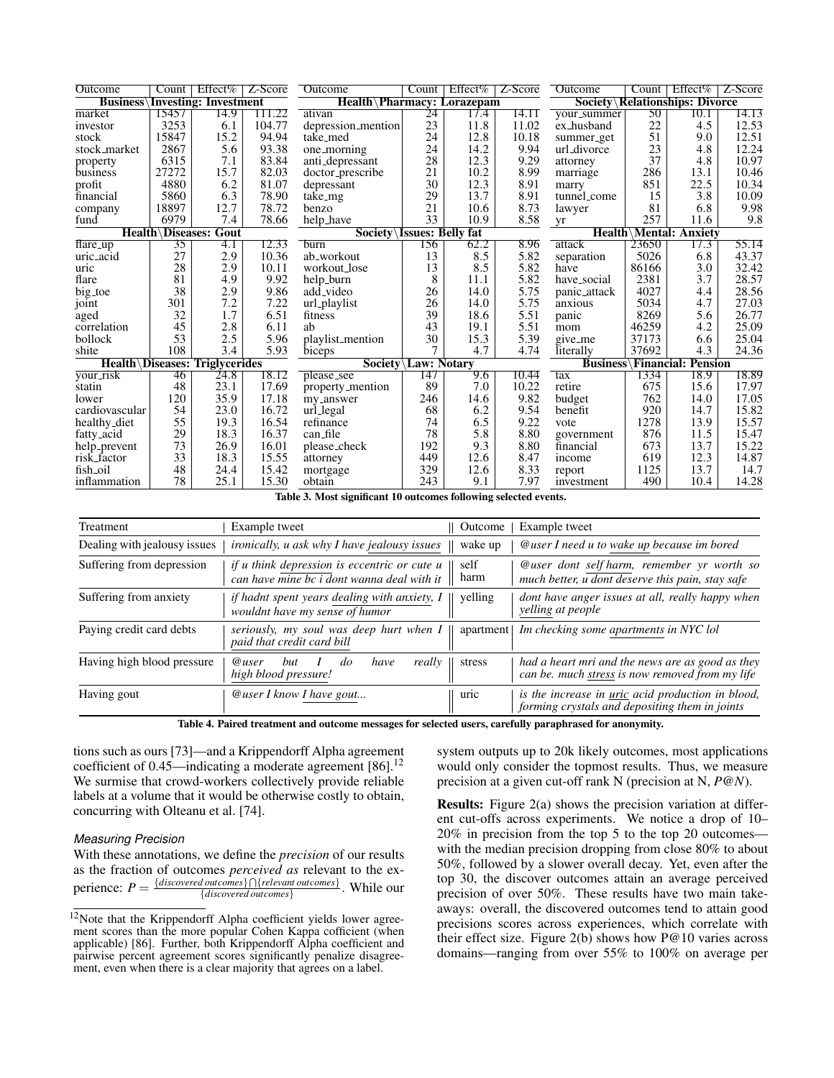| <b>Outcome</b>                                  | Count | Effect%                           | Z-Score                   | Outcome            | Count                                 | Effect%                            | Z-Score | Outcome      | Count | Effect% | Z-Score |
|-------------------------------------------------|-------|-----------------------------------|---------------------------|--------------------|---------------------------------------|------------------------------------|---------|--------------|-------|---------|---------|
| <b>Investing: Investment</b><br><b>Business</b> |       | <b>Health Pharmacy: Lorazepam</b> |                           |                    | <b>Society</b> Relationships: Divorce |                                    |         |              |       |         |         |
| market                                          | 15457 | 14.9                              | 111.22                    | ativan             | 24                                    | 17.4                               | 14.II   | your_summer  | 50    | 10.1    | 14.13   |
| investor                                        | 3253  | 6.1                               | 104.77                    | depression_mention | 23                                    | 11.8                               | 11.02   | ex_husband   | 22    | 4.5     | 12.53   |
| stock                                           | 15847 | 15.2                              | 94.94                     | take_med           | 24                                    | 12.8                               | 10.18   | summer_get   | 51    | 9.0     | 12.51   |
| stock_market                                    | 2867  | 5.6                               | 93.38                     | one_morning        | 24                                    | 14.2                               | 9.94    | url_divorce  | 23    | 4.8     | 12.24   |
| property                                        | 6315  | 7.1                               | 83.84                     | anti_depressant    | 28                                    | 12.3                               | 9.29    | attorney     | 37    | 4.8     | 10.97   |
| business                                        | 27272 | 15.7                              | 82.03                     | doctor_prescribe   | 21                                    | 10.2                               | 8.99    | marriage     | 286   | 13.1    | 10.46   |
| profit                                          | 4880  | 6.2                               | 81.07                     | depressant         | 30                                    | 12.3                               | 8.91    | marry        | 851   | 22.5    | 10.34   |
| financial                                       | 5860  | 6.3                               | 78.90                     | take_mg            | 29                                    | 13.7                               | 8.91    | tunnel_come  | 15    | 3.8     | 10.09   |
| company                                         | 18897 | 12.7                              | 78.72                     | benzo              | 21                                    | 10.6                               | 8.73    | lawyer       | 81    | 6.8     | 9.98    |
| fund                                            | 6979  | 7.4                               | 78.66                     | help_have          | 33                                    | 10.9                               | 8.58    | yr           | 257   | 11.6    | 9.8     |
| <b>Health\Diseases: Gout</b>                    |       |                                   | Society Issues: Belly fat |                    |                                       | <b>Health Mental: Anxiety</b>      |         |              |       |         |         |
| flare_up                                        | 35    | 4.1                               | 12.33                     | burn               | 156                                   | 62.2                               | 8.96    | attack       | 23650 | 17.3    | 55.14   |
| uric_acid                                       | 27    | 2.9                               | 10.36                     | ab_workout         | 13                                    | 8.5                                | 5.82    | separation   | 5026  | 6.8     | 43.37   |
| uric                                            | 28    | 2.9                               | 10.11                     | workout_lose       | 13                                    | 8.5                                | 5.82    | have         | 86166 | 3.0     | 32.42   |
| flare                                           | 81    | 4.9                               | 9.92                      | help_burn          | 8                                     | 11.1                               | 5.82    | have_social  | 2381  | 3.7     | 28.57   |
| big_toe                                         | 38    | 2.9                               | 9.86                      | add_video          | 26                                    | 14.0                               | 5.75    | panic_attack | 4027  | 4.4     | 28.56   |
| joint                                           | 301   | 7.2                               | 7.22                      | url_playlist       | 26                                    | 14.0                               | 5.75    | anxious      | 5034  | 4.7     | 27.03   |
| aged                                            | 32    | 1.7                               | 6.51                      | fitness            | 39                                    | 18.6                               | 5.51    | panic        | 8269  | 5.6     | 26.77   |
| correlation                                     | 45    | 2.8                               | 6.11                      | ab                 | 43                                    | 19.1                               | 5.51    | mom          | 46259 | 4.2     | 25.09   |
| bollock                                         | 53    | 2.5                               | 5.96                      | playlist_mention   | 30                                    | 15.3                               | 5.39    | give_me      | 37173 | 6.6     | 25.04   |
| shite                                           | 108   | 3.4                               | 5.93                      | biceps             | 7                                     | 4.7                                | 4.74    | literally    | 37692 | 4.3     | 24.36   |
| <b>Health\Diseases: Triglycerides</b>           |       |                                   | Society Law: Notary       |                    |                                       | <b>Business</b> Financial: Pension |         |              |       |         |         |
| vour_risk                                       | 46    | 24.8                              | 18.12                     | please_see         | 147                                   | 9.6                                | 10.44   | tax          | 1334  | 18.9    | 18.89   |
| statin                                          | 48    | 23.1                              | 17.69                     | property_mention   | 89                                    | 7.0                                | 10.22   | retire       | 675   | 15.6    | 17.97   |
| lower                                           | 120   | 35.9                              | 17.18                     | my_answer          | 246                                   | 14.6                               | 9.82    | budget       | 762   | 14.0    | 17.05   |
| cardiovascular                                  | 54    | 23.0                              | 16.72                     | url_legal          | 68                                    | 6.2                                | 9.54    | benefit      | 920   | 14.7    | 15.82   |
| healthy_diet                                    | 55    | 19.3                              | 16.54                     | refinance          | 74                                    | 6.5                                | 9.22    | vote         | 1278  | 13.9    | 15.57   |
| fatty_acid                                      | 29    | 18.3                              | 16.37                     | can file           | 78                                    | 5.8                                | 8.80    | government   | 876   | 11.5    | 15.47   |
| help_prevent                                    | 73    | 26.9                              | 16.01                     | please_check       | 192                                   | 9.3                                | 8.80    | financial    | 673   | 13.7    | 15.22   |
| risk_factor                                     | 33    | 18.3                              | 15.55                     | attorney           | 449                                   | 12.6                               | 8.47    | income       | 619   | 12.3    | 14.87   |
| fish_oil                                        | 48    | 24.4                              | 15.42                     | mortgage           | 329                                   | 12.6                               | 8.33    | report       | 1125  | 13.7    | 14.7    |
| inflammation                                    | 78    | 25.1                              | 15.30                     | obtain             | 243                                   | 9.1                                | 7.97    | investment   | 490   | 10.4    | 14.28   |

<span id="page-7-1"></span>Table 3. Most significant 10 outcomes following selected events.

| Treatment                    | Example tweet                                                                              | Outcome      | Example tweet                                                                                              |
|------------------------------|--------------------------------------------------------------------------------------------|--------------|------------------------------------------------------------------------------------------------------------|
| Dealing with jealousy issues | <i>ironically, u ask why I have jealousy issues</i>                                        | wake up      | <b>@user I need u to wake up because im bored</b>                                                          |
| Suffering from depression    | if u think depression is eccentric or cute u<br>can have mine bc i dont wanna deal with it | self<br>harm | Quser dont self harm, remember yr worth so<br>much better, u dont deserve this pain, stay safe             |
| Suffering from anxiety       | if hadnt spent years dealing with anxiety, I<br>wouldnt have my sense of humor             | yelling      | dont have anger issues at all, really happy when<br>yelling at people                                      |
| Paying credit card debts     | seriously, my soul was deep hurt when I<br>paid that credit card bill                      | apartment    | Im checking some apartments in NYC lol                                                                     |
| Having high blood pressure   | $\omega_{user}$<br>really<br>but<br>have<br>do<br>high blood pressure!                     | stress       | had a heart mri and the news are as good as they<br>can be. much stress is now removed from my life        |
| Having gout                  | <b>@user I know I have gout</b>                                                            | uric         | is the increase in <u>uric</u> acid production in blood,<br>forming crystals and depositing them in joints |

<span id="page-7-0"></span>Table 4. Paired treatment and outcome messages for selected users, carefully paraphrased for anonymity.

tions such as ours [\[73\]](#page-15-21)—and a Krippendorff Alpha agreement coefficient of 0.45—indicating a moderate agreement  $[86]$ .<sup>[12](#page-7-2)</sup> We surmise that crowd-workers collectively provide reliable labels at a volume that it would be otherwise costly to obtain, concurring with Olteanu et al. [\[74\]](#page-15-6).

## *Measuring Precision*

With these annotations, we define the *precision* of our results as the fraction of outcomes *perceived as* relevant to the experience:  $P = \frac{\{discovered outcomes\} \cap \{relevant outcomes\}}{\{discovered outcomes\}}$ . While our {*discovered outcomes*}

system outputs up to 20k likely outcomes, most applications would only consider the topmost results. Thus, we measure precision at a given cut-off rank N (precision at N, *P*@*N*).

Results: Figure [2\(](#page-8-0)a) shows the precision variation at different cut-offs across experiments. We notice a drop of 10– 20% in precision from the top 5 to the top 20 outcomes with the median precision dropping from close 80% to about 50%, followed by a slower overall decay. Yet, even after the top 30, the discover outcomes attain an average perceived precision of over 50%. These results have two main takeaways: overall, the discovered outcomes tend to attain good precisions scores across experiences, which correlate with their effect size. Figure [2\(](#page-8-0)b) shows how P@10 varies across domains—ranging from over 55% to 100% on average per

<span id="page-7-2"></span><sup>12</sup>Note that the Krippendorff Alpha coefficient yields lower agreement scores than the more popular Cohen Kappa cofficient (when applicable) [\[86\]](#page-16-13). Further, both Krippendorff Alpha coefficient and pairwise percent agreement scores significantly penalize disagreement, even when there is a clear majority that agrees on a label.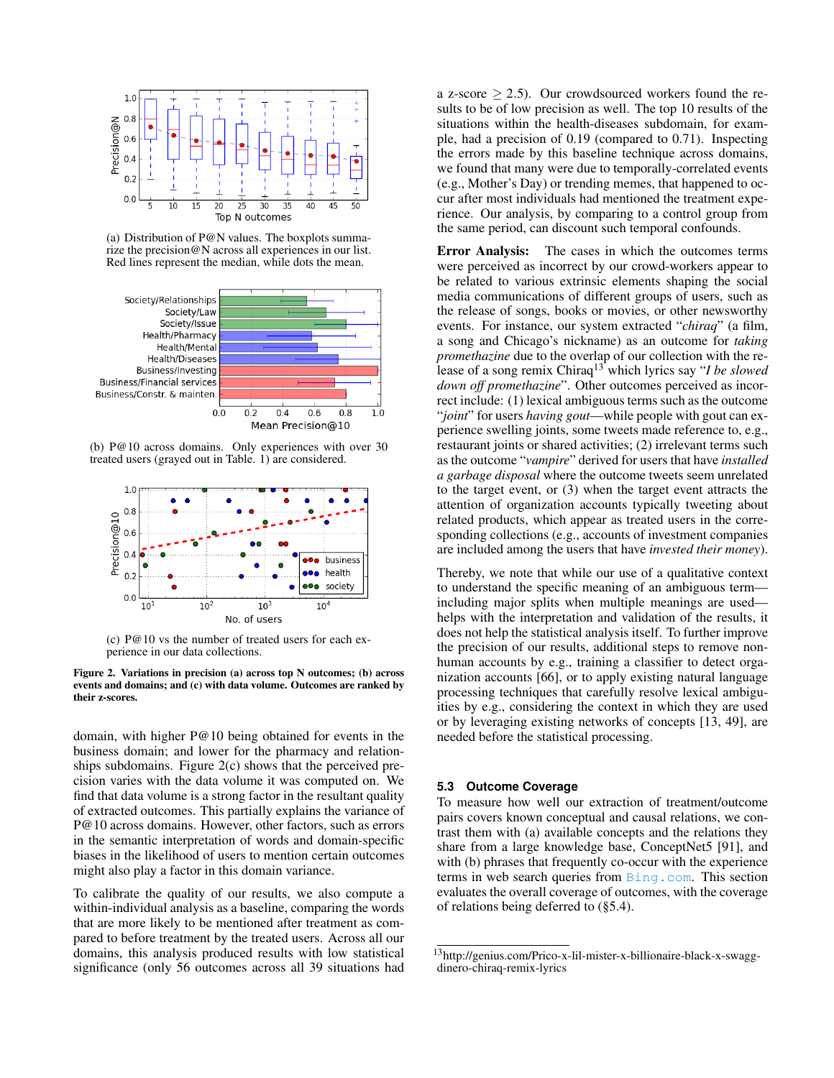

(a) Distribution of P@N values. The boxplots summarize the precision@N across all experiences in our list. Red lines represent the median, while dots the mean.



(b) P@10 across domains. Only experiences with over 30 treated users (grayed out in Table. 1) are considered.



<span id="page-8-0"></span>(c) P@10 vs the number of treated users for each experience in our data collections.

Figure 2. Variations in precision (a) across top N outcomes; (b) across events and domains; and (c) with data volume. Outcomes are ranked by their z-scores.

domain, with higher P@10 being obtained for events in the business domain; and lower for the pharmacy and relationships subdomains. Figure [2\(](#page-8-0)c) shows that the perceived precision varies with the data volume it was computed on. We find that data volume is a strong factor in the resultant quality of extracted outcomes. This partially explains the variance of P@10 across domains. However, other factors, such as errors in the semantic interpretation of words and domain-specific biases in the likelihood of users to mention certain outcomes might also play a factor in this domain variance.

To calibrate the quality of our results, we also compute a within-individual analysis as a baseline, comparing the words that are more likely to be mentioned after treatment as compared to before treatment by the treated users. Across all our domains, this analysis produced results with low statistical significance (only 56 outcomes across all 39 situations had

a z-score  $> 2.5$ ). Our crowdsourced workers found the results to be of low precision as well. The top 10 results of the situations within the health-diseases subdomain, for example, had a precision of 0.19 (compared to 0.71). Inspecting the errors made by this baseline technique across domains, we found that many were due to temporally-correlated events (e.g., Mother's Day) or trending memes, that happened to occur after most individuals had mentioned the treatment experience. Our analysis, by comparing to a control group from the same period, can discount such temporal confounds.

Error Analysis: The cases in which the outcomes terms were perceived as incorrect by our crowd-workers appear to be related to various extrinsic elements shaping the social media communications of different groups of users, such as the release of songs, books or movies, or other newsworthy events. For instance, our system extracted "*chiraq*" (a film, a song and Chicago's nickname) as an outcome for *taking promethazine* due to the overlap of our collection with the release of a song remix Chiraq[13](#page-8-1) which lyrics say "*I be slowed down off promethazine*". Other outcomes perceived as incorrect include: (1) lexical ambiguous terms such as the outcome "*joint*" for users *having gout*—while people with gout can experience swelling joints, some tweets made reference to, e.g., restaurant joints or shared activities; (2) irrelevant terms such as the outcome "*vampire*" derived for users that have *installed a garbage disposal* where the outcome tweets seem unrelated to the target event, or (3) when the target event attracts the attention of organization accounts typically tweeting about related products, which appear as treated users in the corresponding collections (e.g., accounts of investment companies are included among the users that have *invested their money*).

Thereby, we note that while our use of a qualitative context to understand the specific meaning of an ambiguous term including major splits when multiple meanings are used helps with the interpretation and validation of the results, it does not help the statistical analysis itself. To further improve the precision of our results, additional steps to remove nonhuman accounts by e.g., training a classifier to detect organization accounts [\[66\]](#page-15-22), or to apply existing natural language processing techniques that carefully resolve lexical ambiguities by e.g., considering the context in which they are used or by leveraging existing networks of concepts [\[13,](#page-13-20) [49\]](#page-14-20), are needed before the statistical processing.

# **5.3 Outcome Coverage**

To measure how well our extraction of treatment/outcome pairs covers known conceptual and causal relations, we contrast them with (a) available concepts and the relations they share from a large knowledge base, ConceptNet5 [\[91\]](#page-16-1), and with (b) phrases that frequently co-occur with the experience terms in web search queries from <Bing.com>. This section evaluates the overall coverage of outcomes, with the coverage of relations being deferred to ([§5.4\)](#page-10-1).

<span id="page-8-1"></span><sup>13</sup>http://genius.com/Prico-x-lil-mister-x-billionaire-black-x-swaggdinero-chiraq-remix-lyrics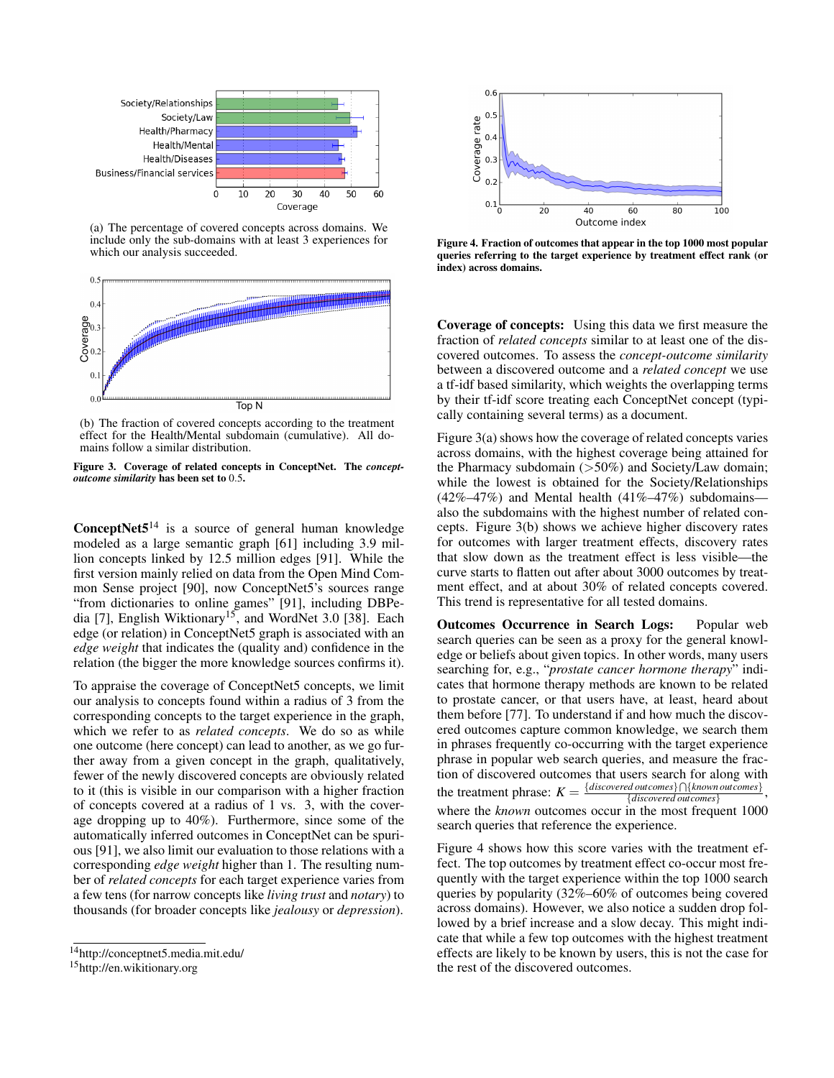

(a) The percentage of covered concepts across domains. We include only the sub-domains with at least 3 experiences for which our analysis succeeded.



(b) The fraction of covered concepts according to the treatment effect for the Health/Mental subdomain (cumulative). All domains follow a similar distribution.

<span id="page-9-2"></span>Figure 3. Coverage of related concepts in ConceptNet. The *conceptoutcome similarity* has been set to 0.5.

**ConceptNet5**<sup>[14](#page-9-0)</sup> is a source of general human knowledge modeled as a large semantic graph [\[61\]](#page-15-23) including 3.9 million concepts linked by 12.5 million edges [\[91\]](#page-16-1). While the first version mainly relied on data from the Open Mind Common Sense project [\[90\]](#page-16-14), now ConceptNet5's sources range "from dictionaries to online games" [\[91\]](#page-16-1), including DBPe-dia [\[7\]](#page-13-21), English Wiktionary<sup>[15](#page-9-1)</sup>, and WordNet 3.0 [\[38\]](#page-14-21). Each edge (or relation) in ConceptNet5 graph is associated with an *edge weight* that indicates the (quality and) confidence in the relation (the bigger the more knowledge sources confirms it).

To appraise the coverage of ConceptNet5 concepts, we limit our analysis to concepts found within a radius of 3 from the corresponding concepts to the target experience in the graph, which we refer to as *related concepts*. We do so as while one outcome (here concept) can lead to another, as we go further away from a given concept in the graph, qualitatively, fewer of the newly discovered concepts are obviously related to it (this is visible in our comparison with a higher fraction of concepts covered at a radius of 1 vs. 3, with the coverage dropping up to 40%). Furthermore, since some of the automatically inferred outcomes in ConceptNet can be spurious [\[91\]](#page-16-1), we also limit our evaluation to those relations with a corresponding *edge weight* higher than 1. The resulting number of *related concepts* for each target experience varies from a few tens (for narrow concepts like *living trust* and *notary*) to thousands (for broader concepts like *jealousy* or *depression*).



<span id="page-9-3"></span>Figure 4. Fraction of outcomes that appear in the top 1000 most popular queries referring to the target experience by treatment effect rank (or index) across domains.

Coverage of concepts: Using this data we first measure the fraction of *related concepts* similar to at least one of the discovered outcomes. To assess the *concept-outcome similarity* between a discovered outcome and a *related concept* we use a tf-idf based similarity, which weights the overlapping terms by their tf-idf score treating each ConceptNet concept (typically containing several terms) as a document.

Figure [3\(](#page-9-2)a) shows how the coverage of related concepts varies across domains, with the highest coverage being attained for the Pharmacy subdomain  $(>50\%)$  and Society/Law domain; while the lowest is obtained for the Society/Relationships  $(42\% - 47\%)$  and Mental health  $(41\% - 47\%)$  subdomains also the subdomains with the highest number of related concepts. Figure [3\(](#page-9-2)b) shows we achieve higher discovery rates for outcomes with larger treatment effects, discovery rates that slow down as the treatment effect is less visible—the curve starts to flatten out after about 3000 outcomes by treatment effect, and at about 30% of related concepts covered. This trend is representative for all tested domains.

Outcomes Occurrence in Search Logs: Popular web search queries can be seen as a proxy for the general knowledge or beliefs about given topics. In other words, many users searching for, e.g., "*prostate cancer hormone therapy*" indicates that hormone therapy methods are known to be related to prostate cancer, or that users have, at least, heard about them before [\[77\]](#page-15-10). To understand if and how much the discovered outcomes capture common knowledge, we search them in phrases frequently co-occurring with the target experience phrase in popular web search queries, and measure the fraction of discovered outcomes that users search for along with the treatment phrase:  $K = \frac{\{discovered\ outcomes\} \cap \{known\ outcomes\}}{\{discoversd\ outcomes\}}$ a outcomes<sub>*}*</sub> | {{known outcomes}</sup>,<br>{discovered outcomes} where the *known* outcomes occur in the most frequent 1000 search queries that reference the experience.

Figure [4](#page-9-3) shows how this score varies with the treatment effect. The top outcomes by treatment effect co-occur most frequently with the target experience within the top 1000 search queries by popularity (32%–60% of outcomes being covered across domains). However, we also notice a sudden drop followed by a brief increase and a slow decay. This might indicate that while a few top outcomes with the highest treatment effects are likely to be known by users, this is not the case for the rest of the discovered outcomes.

<span id="page-9-0"></span><sup>14</sup>http://conceptnet5.media.mit.edu/

<span id="page-9-1"></span><sup>15</sup>http://en.wikitionary.org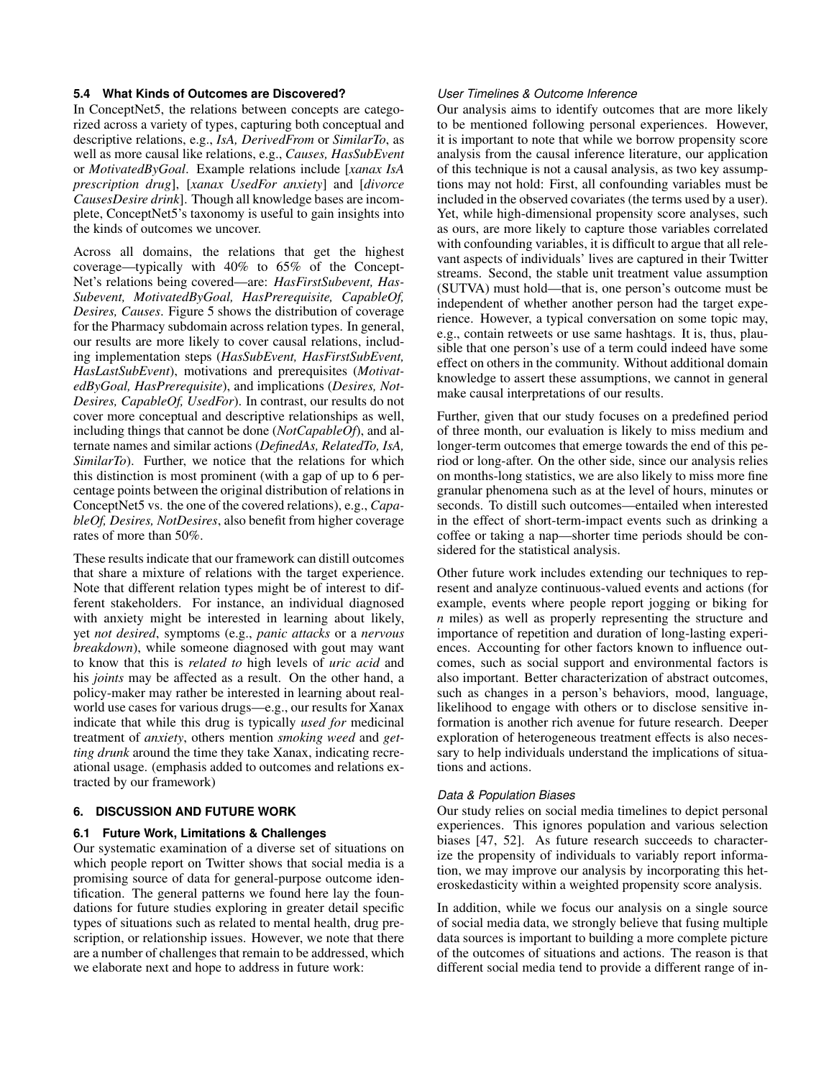# <span id="page-10-1"></span>**5.4 What Kinds of Outcomes are Discovered?**

In ConceptNet5, the relations between concepts are categorized across a variety of types, capturing both conceptual and descriptive relations, e.g., *IsA, DerivedFrom* or *SimilarTo*, as well as more causal like relations, e.g., *Causes, HasSubEvent* or *MotivatedByGoal*. Example relations include [*xanax IsA prescription drug*], [*xanax UsedFor anxiety*] and [*divorce CausesDesire drink*]. Though all knowledge bases are incomplete, ConceptNet5's taxonomy is useful to gain insights into the kinds of outcomes we uncover.

Across all domains, the relations that get the highest coverage—typically with 40% to 65% of the Concept-Net's relations being covered—are: *HasFirstSubevent, Has-Subevent, MotivatedByGoal, HasPrerequisite, CapableOf, Desires, Causes*. Figure [5](#page-11-1) shows the distribution of coverage for the Pharmacy subdomain across relation types. In general, our results are more likely to cover causal relations, including implementation steps (*HasSubEvent, HasFirstSubEvent, HasLastSubEvent*), motivations and prerequisites (*MotivatedByGoal, HasPrerequisite*), and implications (*Desires, Not-Desires, CapableOf, UsedFor*). In contrast, our results do not cover more conceptual and descriptive relationships as well, including things that cannot be done (*NotCapableOf*), and alternate names and similar actions (*DefinedAs, RelatedTo, IsA, SimilarTo*). Further, we notice that the relations for which this distinction is most prominent (with a gap of up to 6 percentage points between the original distribution of relations in ConceptNet5 vs. the one of the covered relations), e.g., *CapableOf, Desires, NotDesires*, also benefit from higher coverage rates of more than 50%.

These results indicate that our framework can distill outcomes that share a mixture of relations with the target experience. Note that different relation types might be of interest to different stakeholders. For instance, an individual diagnosed with anxiety might be interested in learning about likely, yet *not desired*, symptoms (e.g., *panic attacks* or a *nervous breakdown*), while someone diagnosed with gout may want to know that this is *related to* high levels of *uric acid* and his *joints* may be affected as a result. On the other hand, a policy-maker may rather be interested in learning about realworld use cases for various drugs—e.g., our results for Xanax indicate that while this drug is typically *used for* medicinal treatment of *anxiety*, others mention *smoking weed* and *getting drunk* around the time they take Xanax, indicating recreational usage. (emphasis added to outcomes and relations extracted by our framework)

## <span id="page-10-0"></span>**6. DISCUSSION AND FUTURE WORK**

## **6.1 Future Work, Limitations & Challenges**

Our systematic examination of a diverse set of situations on which people report on Twitter shows that social media is a promising source of data for general-purpose outcome identification. The general patterns we found here lay the foundations for future studies exploring in greater detail specific types of situations such as related to mental health, drug prescription, or relationship issues. However, we note that there are a number of challenges that remain to be addressed, which we elaborate next and hope to address in future work:

#### *User Timelines & Outcome Inference*

Our analysis aims to identify outcomes that are more likely to be mentioned following personal experiences. However, it is important to note that while we borrow propensity score analysis from the causal inference literature, our application of this technique is not a causal analysis, as two key assumptions may not hold: First, all confounding variables must be included in the observed covariates (the terms used by a user). Yet, while high-dimensional propensity score analyses, such as ours, are more likely to capture those variables correlated with confounding variables, it is difficult to argue that all relevant aspects of individuals' lives are captured in their Twitter streams. Second, the stable unit treatment value assumption (SUTVA) must hold—that is, one person's outcome must be independent of whether another person had the target experience. However, a typical conversation on some topic may, e.g., contain retweets or use same hashtags. It is, thus, plausible that one person's use of a term could indeed have some effect on others in the community. Without additional domain knowledge to assert these assumptions, we cannot in general make causal interpretations of our results.

Further, given that our study focuses on a predefined period of three month, our evaluation is likely to miss medium and longer-term outcomes that emerge towards the end of this period or long-after. On the other side, since our analysis relies on months-long statistics, we are also likely to miss more fine granular phenomena such as at the level of hours, minutes or seconds. To distill such outcomes—entailed when interested in the effect of short-term-impact events such as drinking a coffee or taking a nap—shorter time periods should be considered for the statistical analysis.

Other future work includes extending our techniques to represent and analyze continuous-valued events and actions (for example, events where people report jogging or biking for *n* miles) as well as properly representing the structure and importance of repetition and duration of long-lasting experiences. Accounting for other factors known to influence outcomes, such as social support and environmental factors is also important. Better characterization of abstract outcomes, such as changes in a person's behaviors, mood, language, likelihood to engage with others or to disclose sensitive information is another rich avenue for future research. Deeper exploration of heterogeneous treatment effects is also necessary to help individuals understand the implications of situations and actions.

## *Data & Population Biases*

Our study relies on social media timelines to depict personal experiences. This ignores population and various selection biases [\[47,](#page-14-22) [52\]](#page-14-23). As future research succeeds to characterize the propensity of individuals to variably report information, we may improve our analysis by incorporating this heteroskedasticity within a weighted propensity score analysis.

In addition, while we focus our analysis on a single source of social media data, we strongly believe that fusing multiple data sources is important to building a more complete picture of the outcomes of situations and actions. The reason is that different social media tend to provide a different range of in-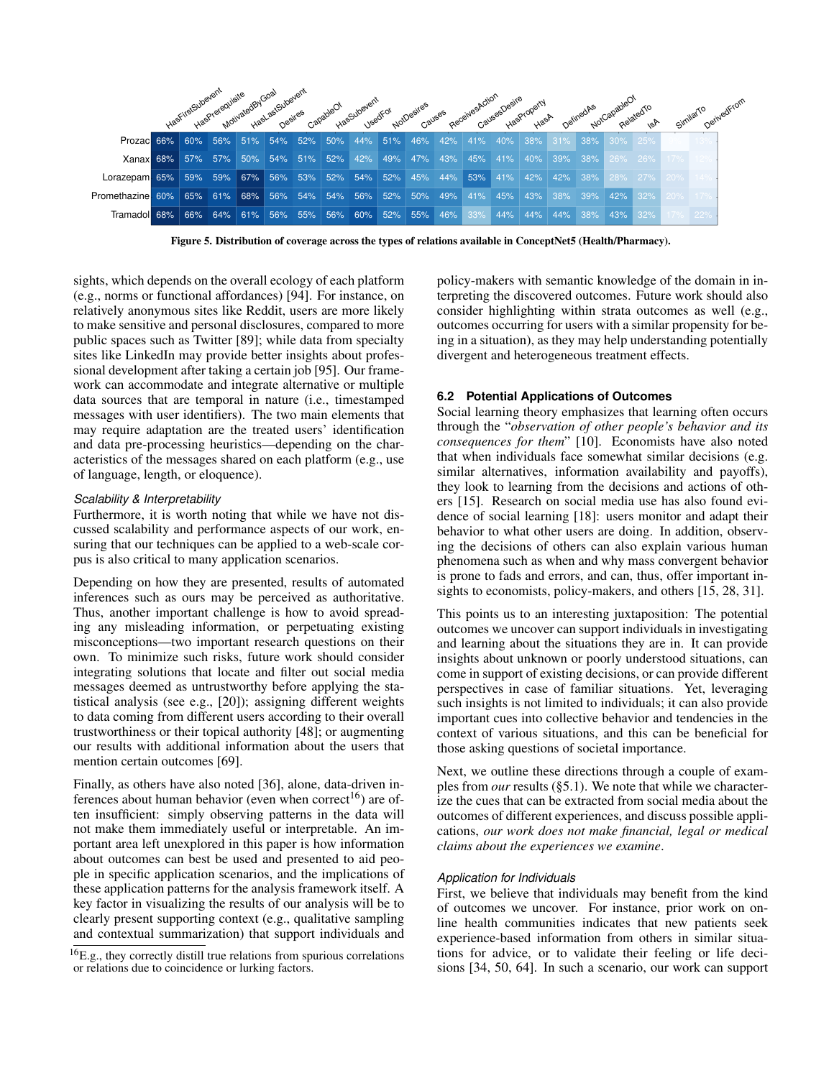

<span id="page-11-1"></span>Figure 5. Distribution of coverage across the types of relations available in ConceptNet5 (Health/Pharmacy).

sights, which depends on the overall ecology of each platform (e.g., norms or functional affordances) [\[94\]](#page-16-15). For instance, on relatively anonymous sites like Reddit, users are more likely to make sensitive and personal disclosures, compared to more public spaces such as Twitter [\[89\]](#page-16-16); while data from specialty sites like LinkedIn may provide better insights about professional development after taking a certain job [\[95\]](#page-16-17). Our framework can accommodate and integrate alternative or multiple data sources that are temporal in nature (i.e., timestamped messages with user identifiers). The two main elements that may require adaptation are the treated users' identification and data pre-processing heuristics—depending on the characteristics of the messages shared on each platform (e.g., use of language, length, or eloquence).

## *Scalability & Interpretability*

Furthermore, it is worth noting that while we have not discussed scalability and performance aspects of our work, ensuring that our techniques can be applied to a web-scale corpus is also critical to many application scenarios.

Depending on how they are presented, results of automated inferences such as ours may be perceived as authoritative. Thus, another important challenge is how to avoid spreading any misleading information, or perpetuating existing misconceptions—two important research questions on their own. To minimize such risks, future work should consider integrating solutions that locate and filter out social media messages deemed as untrustworthy before applying the statistical analysis (see e.g., [\[20\]](#page-13-22)); assigning different weights to data coming from different users according to their overall trustworthiness or their topical authority [\[48\]](#page-14-24); or augmenting our results with additional information about the users that mention certain outcomes [\[69\]](#page-15-24).

Finally, as others have also noted [\[36\]](#page-14-2), alone, data-driven in-ferences about human behavior (even when correct<sup>[16](#page-11-2)</sup>) are often insufficient: simply observing patterns in the data will not make them immediately useful or interpretable. An important area left unexplored in this paper is how information about outcomes can best be used and presented to aid people in specific application scenarios, and the implications of these application patterns for the analysis framework itself. A key factor in visualizing the results of our analysis will be to clearly present supporting context (e.g., qualitative sampling and contextual summarization) that support individuals and

policy-makers with semantic knowledge of the domain in interpreting the discovered outcomes. Future work should also consider highlighting within strata outcomes as well (e.g., outcomes occurring for users with a similar propensity for being in a situation), as they may help understanding potentially divergent and heterogeneous treatment effects.

## <span id="page-11-0"></span>**6.2 Potential Applications of Outcomes**

Social learning theory emphasizes that learning often occurs through the "*observation of other people's behavior and its consequences for them*" [\[10\]](#page-13-23). Economists have also noted that when individuals face somewhat similar decisions (e.g. similar alternatives, information availability and payoffs), they look to learning from the decisions and actions of others [\[15\]](#page-13-24). Research on social media use has also found evidence of social learning [\[18\]](#page-13-25): users monitor and adapt their behavior to what other users are doing. In addition, observing the decisions of others can also explain various human phenomena such as when and why mass convergent behavior is prone to fads and errors, and can, thus, offer important in-sights to economists, policy-makers, and others [\[15,](#page-13-24) [28,](#page-14-0) [31\]](#page-14-17).

This points us to an interesting juxtaposition: The potential outcomes we uncover can support individuals in investigating and learning about the situations they are in. It can provide insights about unknown or poorly understood situations, can come in support of existing decisions, or can provide different perspectives in case of familiar situations. Yet, leveraging such insights is not limited to individuals; it can also provide important cues into collective behavior and tendencies in the context of various situations, and this can be beneficial for those asking questions of societal importance.

Next, we outline these directions through a couple of examples from *our* results ([§5.1\)](#page-5-6). We note that while we characterize the cues that can be extracted from social media about the outcomes of different experiences, and discuss possible applications, *our work does not make financial, legal or medical claims about the experiences we examine*.

## *Application for Individuals*

First, we believe that individuals may benefit from the kind of outcomes we uncover. For instance, prior work on online health communities indicates that new patients seek experience-based information from others in similar situations for advice, or to validate their feeling or life decisions [\[34,](#page-14-7) [50,](#page-14-25) [64\]](#page-15-25). In such a scenario, our work can support

<span id="page-11-2"></span> ${}^{16}E.g.,$  they correctly distill true relations from spurious correlations or relations due to coincidence or lurking factors.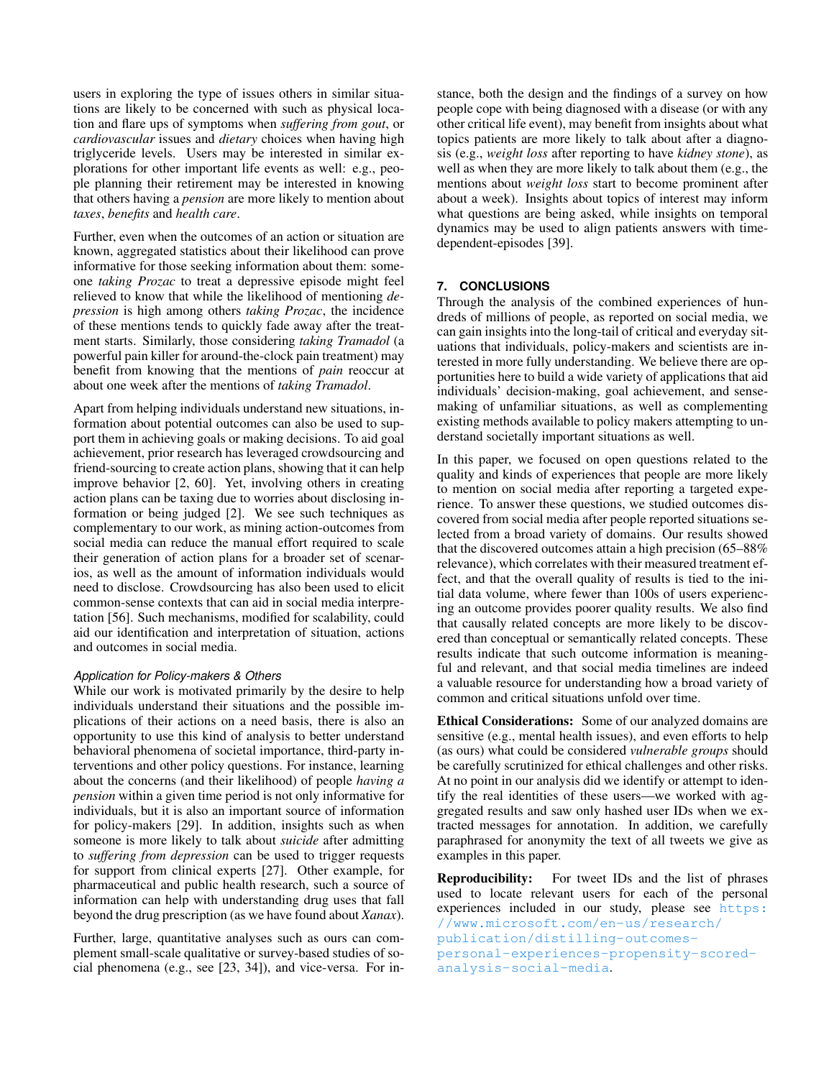users in exploring the type of issues others in similar situations are likely to be concerned with such as physical location and flare ups of symptoms when *suffering from gout*, or *cardiovascular* issues and *dietary* choices when having high triglyceride levels. Users may be interested in similar explorations for other important life events as well: e.g., people planning their retirement may be interested in knowing that others having a *pension* are more likely to mention about *taxes*, *benefits* and *health care*.

Further, even when the outcomes of an action or situation are known, aggregated statistics about their likelihood can prove informative for those seeking information about them: someone *taking Prozac* to treat a depressive episode might feel relieved to know that while the likelihood of mentioning *depression* is high among others *taking Prozac*, the incidence of these mentions tends to quickly fade away after the treatment starts. Similarly, those considering *taking Tramadol* (a powerful pain killer for around-the-clock pain treatment) may benefit from knowing that the mentions of *pain* reoccur at about one week after the mentions of *taking Tramadol*.

Apart from helping individuals understand new situations, information about potential outcomes can also be used to support them in achieving goals or making decisions. To aid goal achievement, prior research has leveraged crowdsourcing and friend-sourcing to create action plans, showing that it can help improve behavior [\[2,](#page-13-1) [60\]](#page-15-26). Yet, involving others in creating action plans can be taxing due to worries about disclosing information or being judged [\[2\]](#page-13-1). We see such techniques as complementary to our work, as mining action-outcomes from social media can reduce the manual effort required to scale their generation of action plans for a broader set of scenarios, as well as the amount of information individuals would need to disclose. Crowdsourcing has also been used to elicit common-sense contexts that can aid in social media interpretation [\[56\]](#page-15-27). Such mechanisms, modified for scalability, could aid our identification and interpretation of situation, actions and outcomes in social media.

# *Application for Policy-makers & Others*

While our work is motivated primarily by the desire to help individuals understand their situations and the possible implications of their actions on a need basis, there is also an opportunity to use this kind of analysis to better understand behavioral phenomena of societal importance, third-party interventions and other policy questions. For instance, learning about the concerns (and their likelihood) of people *having a pension* within a given time period is not only informative for individuals, but it is also an important source of information for policy-makers [\[29\]](#page-14-26). In addition, insights such as when someone is more likely to talk about *suicide* after admitting to *suffering from depression* can be used to trigger requests for support from clinical experts [\[27\]](#page-14-14). Other example, for pharmaceutical and public health research, such a source of information can help with understanding drug uses that fall beyond the drug prescription (as we have found about *Xanax*).

Further, large, quantitative analyses such as ours can complement small-scale qualitative or survey-based studies of social phenomena (e.g., see [\[23,](#page-13-8) [34\]](#page-14-7)), and vice-versa. For instance, both the design and the findings of a survey on how people cope with being diagnosed with a disease (or with any other critical life event), may benefit from insights about what topics patients are more likely to talk about after a diagnosis (e.g., *weight loss* after reporting to have *kidney stone*), as well as when they are more likely to talk about them (e.g., the mentions about *weight loss* start to become prominent after about a week). Insights about topics of interest may inform what questions are being asked, while insights on temporal dynamics may be used to align patients answers with timedependent-episodes [\[39\]](#page-14-10).

# **7. CONCLUSIONS**

Through the analysis of the combined experiences of hundreds of millions of people, as reported on social media, we can gain insights into the long-tail of critical and everyday situations that individuals, policy-makers and scientists are interested in more fully understanding. We believe there are opportunities here to build a wide variety of applications that aid individuals' decision-making, goal achievement, and sensemaking of unfamiliar situations, as well as complementing existing methods available to policy makers attempting to understand societally important situations as well.

In this paper, we focused on open questions related to the quality and kinds of experiences that people are more likely to mention on social media after reporting a targeted experience. To answer these questions, we studied outcomes discovered from social media after people reported situations selected from a broad variety of domains. Our results showed that the discovered outcomes attain a high precision (65–88% relevance), which correlates with their measured treatment effect, and that the overall quality of results is tied to the initial data volume, where fewer than 100s of users experiencing an outcome provides poorer quality results. We also find that causally related concepts are more likely to be discovered than conceptual or semantically related concepts. These results indicate that such outcome information is meaningful and relevant, and that social media timelines are indeed a valuable resource for understanding how a broad variety of common and critical situations unfold over time.

Ethical Considerations: Some of our analyzed domains are sensitive (e.g., mental health issues), and even efforts to help (as ours) what could be considered *vulnerable groups* should be carefully scrutinized for ethical challenges and other risks. At no point in our analysis did we identify or attempt to identify the real identities of these users—we worked with aggregated results and saw only hashed user IDs when we extracted messages for annotation. In addition, we carefully paraphrased for anonymity the text of all tweets we give as examples in this paper.

Reproducibility: For tweet IDs and the list of phrases used to locate relevant users for each of the personal experiences included in our study, please see [https:](https://www.microsoft.com/en-us/research/publication/distilling-outcomes-personal-experiences-propensity-scored-analysis-social-media) [//www.microsoft.com/en-us/research/](https://www.microsoft.com/en-us/research/publication/distilling-outcomes-personal-experiences-propensity-scored-analysis-social-media) [publication/distilling-outcomes-](https://www.microsoft.com/en-us/research/publication/distilling-outcomes-personal-experiences-propensity-scored-analysis-social-media)

[personal-experiences-propensity-scored](https://www.microsoft.com/en-us/research/publication/distilling-outcomes-personal-experiences-propensity-scored-analysis-social-media)[analysis-social-media](https://www.microsoft.com/en-us/research/publication/distilling-outcomes-personal-experiences-propensity-scored-analysis-social-media).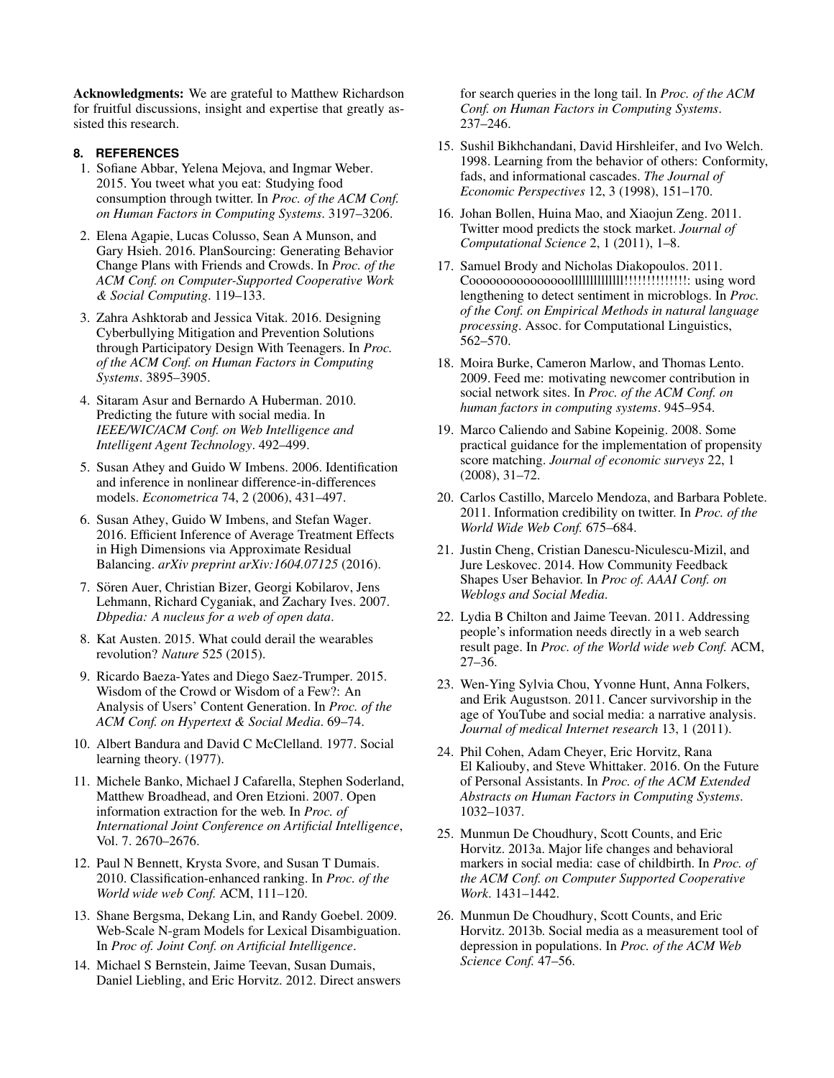Acknowledgments: We are grateful to Matthew Richardson for fruitful discussions, insight and expertise that greatly assisted this research.

# <span id="page-13-7"></span>**8. REFERENCES**

- 1. Sofiane Abbar, Yelena Mejova, and Ingmar Weber. 2015. You tweet what you eat: Studying food consumption through twitter. In *Proc. of the ACM Conf. on Human Factors in Computing Systems*. 3197–3206.
- <span id="page-13-1"></span>2. Elena Agapie, Lucas Colusso, Sean A Munson, and Gary Hsieh. 2016. PlanSourcing: Generating Behavior Change Plans with Friends and Crowds. In *Proc. of the ACM Conf. on Computer-Supported Cooperative Work & Social Computing*. 119–133.
- <span id="page-13-0"></span>3. Zahra Ashktorab and Jessica Vitak. 2016. Designing Cyberbullying Mitigation and Prevention Solutions through Participatory Design With Teenagers. In *Proc. of the ACM Conf. on Human Factors in Computing Systems*. 3895–3905.
- <span id="page-13-11"></span>4. Sitaram Asur and Bernardo A Huberman. 2010. Predicting the future with social media. In *IEEE/WIC/ACM Conf. on Web Intelligence and Intelligent Agent Technology*. 492–499.
- <span id="page-13-13"></span>5. Susan Athey and Guido W Imbens. 2006. Identification and inference in nonlinear difference-in-differences models. *Econometrica* 74, 2 (2006), 431–497.
- <span id="page-13-14"></span>6. Susan Athey, Guido W Imbens, and Stefan Wager. 2016. Efficient Inference of Average Treatment Effects in High Dimensions via Approximate Residual Balancing. *arXiv preprint arXiv:1604.07125* (2016).
- <span id="page-13-21"></span>7. Sören Auer, Christian Bizer, Georgi Kobilarov, Jens Lehmann, Richard Cyganiak, and Zachary Ives. 2007. *Dbpedia: A nucleus for a web of open data*.
- <span id="page-13-9"></span>8. Kat Austen. 2015. What could derail the wearables revolution? *Nature* 525 (2015).
- <span id="page-13-6"></span>9. Ricardo Baeza-Yates and Diego Saez-Trumper. 2015. Wisdom of the Crowd or Wisdom of a Few?: An Analysis of Users' Content Generation. In *Proc. of the ACM Conf. on Hypertext & Social Media*. 69–74.
- <span id="page-13-23"></span>10. Albert Bandura and David C McClelland. 1977. Social learning theory. (1977).
- <span id="page-13-3"></span>11. Michele Banko, Michael J Cafarella, Stephen Soderland, Matthew Broadhead, and Oren Etzioni. 2007. Open information extraction for the web. In *Proc. of International Joint Conference on Artificial Intelligence*, Vol. 7. 2670–2676.
- <span id="page-13-17"></span>12. Paul N Bennett, Krysta Svore, and Susan T Dumais. 2010. Classification-enhanced ranking. In *Proc. of the World wide web Conf.* ACM, 111–120.
- <span id="page-13-20"></span>13. Shane Bergsma, Dekang Lin, and Randy Goebel. 2009. Web-Scale N-gram Models for Lexical Disambiguation. In *Proc of. Joint Conf. on Artificial Intelligence*.
- <span id="page-13-4"></span>14. Michael S Bernstein, Jaime Teevan, Susan Dumais, Daniel Liebling, and Eric Horvitz. 2012. Direct answers

for search queries in the long tail. In *Proc. of the ACM Conf. on Human Factors in Computing Systems*. 237–246.

- <span id="page-13-24"></span>15. Sushil Bikhchandani, David Hirshleifer, and Ivo Welch. 1998. Learning from the behavior of others: Conformity, fads, and informational cascades. *The Journal of Economic Perspectives* 12, 3 (1998), 151–170.
- <span id="page-13-10"></span>16. Johan Bollen, Huina Mao, and Xiaojun Zeng. 2011. Twitter mood predicts the stock market. *Journal of Computational Science* 2, 1 (2011), 1–8.
- <span id="page-13-18"></span>17. Samuel Brody and Nicholas Diakopoulos. 2011. Cooooooooooooooollllllllllllll!!!!!!!!!!!!!!: using word lengthening to detect sentiment in microblogs. In *Proc. of the Conf. on Empirical Methods in natural language processing*. Assoc. for Computational Linguistics, 562–570.
- <span id="page-13-25"></span>18. Moira Burke, Cameron Marlow, and Thomas Lento. 2009. Feed me: motivating newcomer contribution in social network sites. In *Proc. of the ACM Conf. on human factors in computing systems*. 945–954.
- <span id="page-13-19"></span>19. Marco Caliendo and Sabine Kopeinig. 2008. Some practical guidance for the implementation of propensity score matching. *Journal of economic surveys* 22, 1 (2008), 31–72.
- <span id="page-13-22"></span>20. Carlos Castillo, Marcelo Mendoza, and Barbara Poblete. 2011. Information credibility on twitter. In *Proc. of the World Wide Web Conf.* 675–684.
- <span id="page-13-12"></span>21. Justin Cheng, Cristian Danescu-Niculescu-Mizil, and Jure Leskovec. 2014. How Community Feedback Shapes User Behavior. In *Proc of. AAAI Conf. on Weblogs and Social Media*.
- <span id="page-13-5"></span>22. Lydia B Chilton and Jaime Teevan. 2011. Addressing people's information needs directly in a web search result page. In *Proc. of the World wide web Conf.* ACM, 27–36.
- <span id="page-13-8"></span>23. Wen-Ying Sylvia Chou, Yvonne Hunt, Anna Folkers, and Erik Augustson. 2011. Cancer survivorship in the age of YouTube and social media: a narrative analysis. *Journal of medical Internet research* 13, 1 (2011).
- <span id="page-13-2"></span>24. Phil Cohen, Adam Cheyer, Eric Horvitz, Rana El Kaliouby, and Steve Whittaker. 2016. On the Future of Personal Assistants. In *Proc. of the ACM Extended Abstracts on Human Factors in Computing Systems*. 1032–1037.
- <span id="page-13-15"></span>25. Munmun De Choudhury, Scott Counts, and Eric Horvitz. 2013a. Major life changes and behavioral markers in social media: case of childbirth. In *Proc. of the ACM Conf. on Computer Supported Cooperative Work*. 1431–1442.
- <span id="page-13-16"></span>26. Munmun De Choudhury, Scott Counts, and Eric Horvitz. 2013b. Social media as a measurement tool of depression in populations. In *Proc. of the ACM Web Science Conf.* 47–56.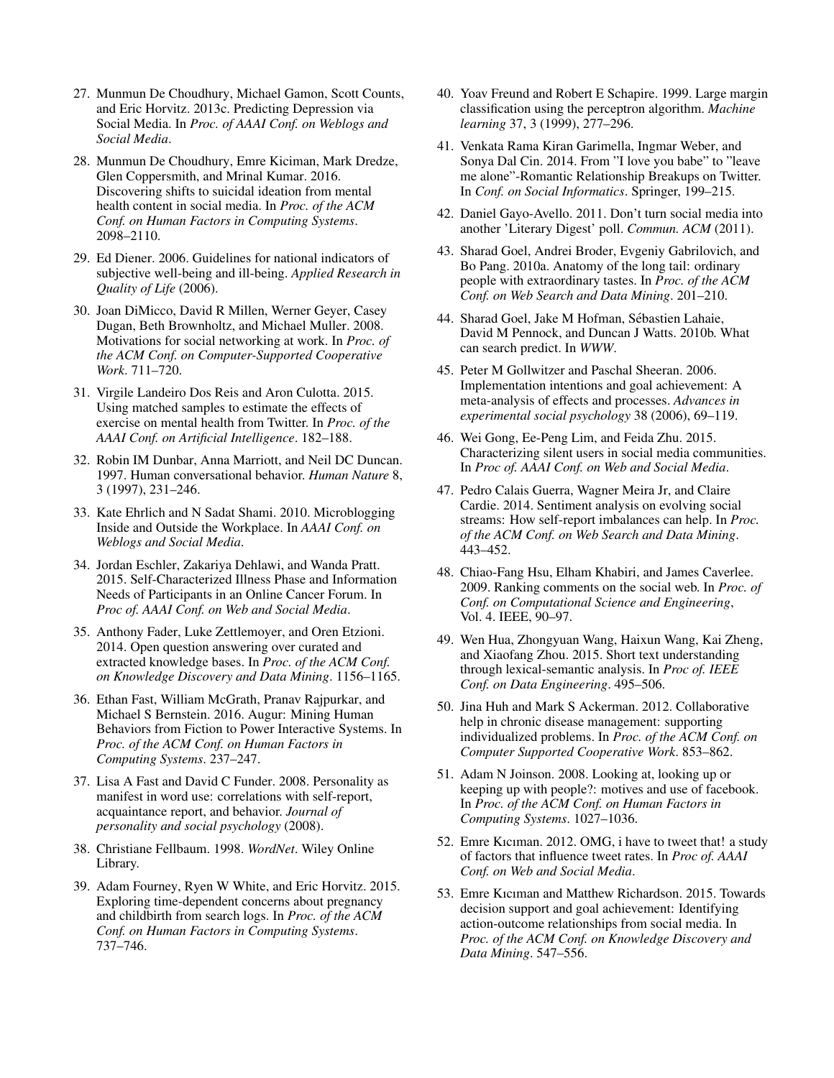- <span id="page-14-14"></span>27. Munmun De Choudhury, Michael Gamon, Scott Counts, and Eric Horvitz. 2013c. Predicting Depression via Social Media. In *Proc. of AAAI Conf. on Weblogs and Social Media*.
- <span id="page-14-0"></span>28. Munmun De Choudhury, Emre Kiciman, Mark Dredze, Glen Coppersmith, and Mrinal Kumar. 2016. Discovering shifts to suicidal ideation from mental health content in social media. In *Proc. of the ACM Conf. on Human Factors in Computing Systems*. 2098–2110.
- <span id="page-14-26"></span>29. Ed Diener. 2006. Guidelines for national indicators of subjective well-being and ill-being. *Applied Research in Quality of Life* (2006).
- <span id="page-14-8"></span>30. Joan DiMicco, David R Millen, Werner Geyer, Casey Dugan, Beth Brownholtz, and Michael Muller. 2008. Motivations for social networking at work. In *Proc. of the ACM Conf. on Computer-Supported Cooperative Work*. 711–720.
- <span id="page-14-17"></span>31. Virgile Landeiro Dos Reis and Aron Culotta. 2015. Using matched samples to estimate the effects of exercise on mental health from Twitter. In *Proc. of the AAAI Conf. on Artificial Intelligence*. 182–188.
- <span id="page-14-12"></span>32. Robin IM Dunbar, Anna Marriott, and Neil DC Duncan. 1997. Human conversational behavior. *Human Nature* 8, 3 (1997), 231–246.
- <span id="page-14-5"></span>33. Kate Ehrlich and N Sadat Shami. 2010. Microblogging Inside and Outside the Workplace. In *AAAI Conf. on Weblogs and Social Media*.
- <span id="page-14-7"></span>34. Jordan Eschler, Zakariya Dehlawi, and Wanda Pratt. 2015. Self-Characterized Illness Phase and Information Needs of Participants in an Online Cancer Forum. In *Proc of. AAAI Conf. on Web and Social Media*.
- <span id="page-14-3"></span>35. Anthony Fader, Luke Zettlemoyer, and Oren Etzioni. 2014. Open question answering over curated and extracted knowledge bases. In *Proc. of the ACM Conf. on Knowledge Discovery and Data Mining*. 1156–1165.
- <span id="page-14-2"></span>36. Ethan Fast, William McGrath, Pranav Rajpurkar, and Michael S Bernstein. 2016. Augur: Mining Human Behaviors from Fiction to Power Interactive Systems. In *Proc. of the ACM Conf. on Human Factors in Computing Systems*. 237–247.
- <span id="page-14-18"></span>37. Lisa A Fast and David C Funder. 2008. Personality as manifest in word use: correlations with self-report, acquaintance report, and behavior. *Journal of personality and social psychology* (2008).
- <span id="page-14-21"></span>38. Christiane Fellbaum. 1998. *WordNet*. Wiley Online Library.
- <span id="page-14-10"></span>39. Adam Fourney, Ryen W White, and Eric Horvitz. 2015. Exploring time-dependent concerns about pregnancy and childbirth from search logs. In *Proc. of the ACM Conf. on Human Factors in Computing Systems*. 737–746.
- <span id="page-14-19"></span>40. Yoav Freund and Robert E Schapire. 1999. Large margin classification using the perceptron algorithm. *Machine learning* 37, 3 (1999), 277–296.
- <span id="page-14-6"></span>41. Venkata Rama Kiran Garimella, Ingmar Weber, and Sonya Dal Cin. 2014. From "I love you babe" to "leave me alone"-Romantic Relationship Breakups on Twitter. In *Conf. on Social Informatics*. Springer, 199–215.
- <span id="page-14-16"></span>42. Daniel Gayo-Avello. 2011. Don't turn social media into another 'Literary Digest' poll. *Commun. ACM* (2011).
- <span id="page-14-4"></span>43. Sharad Goel, Andrei Broder, Evgeniy Gabrilovich, and Bo Pang. 2010a. Anatomy of the long tail: ordinary people with extraordinary tastes. In *Proc. of the ACM Conf. on Web Search and Data Mining*. 201–210.
- <span id="page-14-15"></span>44. Sharad Goel, Jake M Hofman, Sebastien Lahaie, ´ David M Pennock, and Duncan J Watts. 2010b. What can search predict. In *WWW*.
- <span id="page-14-1"></span>45. Peter M Gollwitzer and Paschal Sheeran. 2006. Implementation intentions and goal achievement: A meta-analysis of effects and processes. *Advances in experimental social psychology* 38 (2006), 69–119.
- <span id="page-14-13"></span>46. Wei Gong, Ee-Peng Lim, and Feida Zhu. 2015. Characterizing silent users in social media communities. In *Proc of. AAAI Conf. on Web and Social Media*.
- <span id="page-14-22"></span>47. Pedro Calais Guerra, Wagner Meira Jr, and Claire Cardie. 2014. Sentiment analysis on evolving social streams: How self-report imbalances can help. In *Proc. of the ACM Conf. on Web Search and Data Mining*. 443–452.
- <span id="page-14-24"></span>48. Chiao-Fang Hsu, Elham Khabiri, and James Caverlee. 2009. Ranking comments on the social web. In *Proc. of Conf. on Computational Science and Engineering*, Vol. 4. IEEE, 90–97.
- <span id="page-14-20"></span>49. Wen Hua, Zhongyuan Wang, Haixun Wang, Kai Zheng, and Xiaofang Zhou. 2015. Short text understanding through lexical-semantic analysis. In *Proc of. IEEE Conf. on Data Engineering*. 495–506.
- <span id="page-14-25"></span>50. Jina Huh and Mark S Ackerman. 2012. Collaborative help in chronic disease management: supporting individualized problems. In *Proc. of the ACM Conf. on Computer Supported Cooperative Work*. 853–862.
- <span id="page-14-9"></span>51. Adam N Joinson. 2008. Looking at, looking up or keeping up with people?: motives and use of facebook. In *Proc. of the ACM Conf. on Human Factors in Computing Systems*. 1027–1036.
- <span id="page-14-23"></span>52. Emre Kıcıman. 2012. OMG, i have to tweet that! a study of factors that influence tweet rates. In *Proc of. AAAI Conf. on Web and Social Media*.
- <span id="page-14-11"></span>53. Emre Kıcıman and Matthew Richardson. 2015. Towards decision support and goal achievement: Identifying action-outcome relationships from social media. In *Proc. of the ACM Conf. on Knowledge Discovery and Data Mining*. 547–556.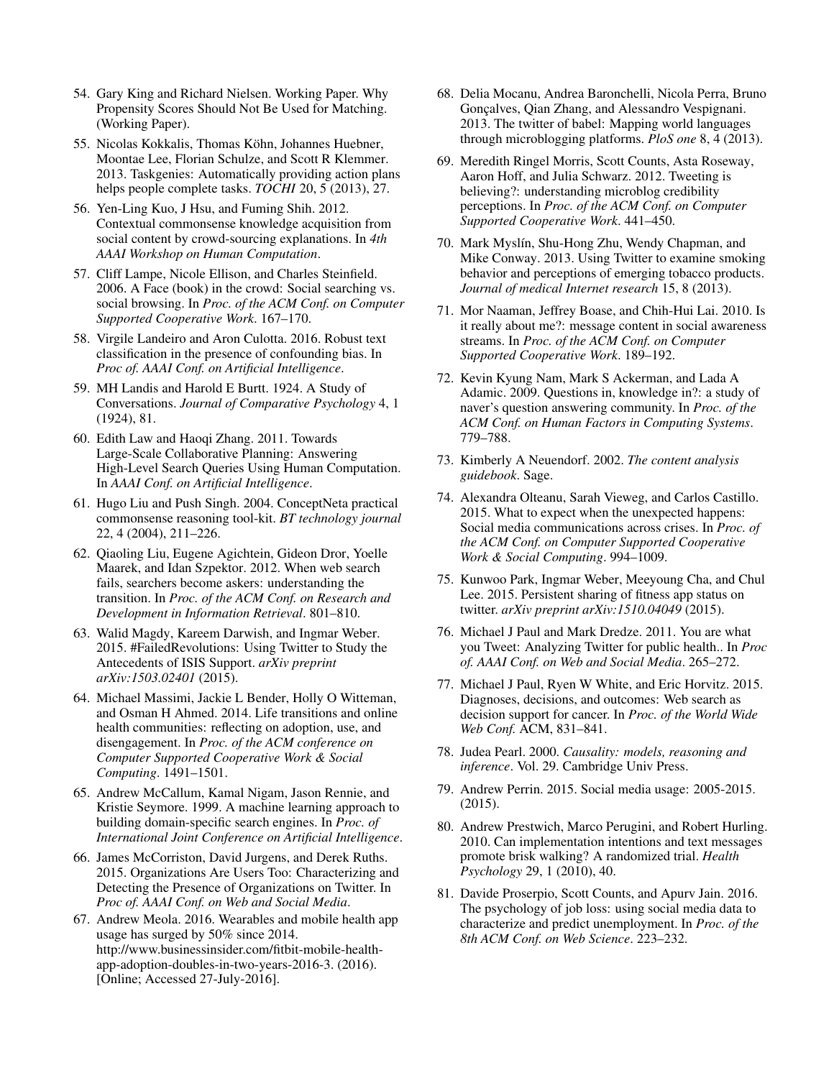- <span id="page-15-17"></span>54. Gary King and Richard Nielsen. Working Paper. Why Propensity Scores Should Not Be Used for Matching. (Working Paper).
- <span id="page-15-1"></span>55. Nicolas Kokkalis, Thomas Köhn, Johannes Huebner, Moontae Lee, Florian Schulze, and Scott R Klemmer. 2013. Taskgenies: Automatically providing action plans helps people complete tasks. *TOCHI* 20, 5 (2013), 27.
- <span id="page-15-27"></span>56. Yen-Ling Kuo, J Hsu, and Fuming Shih. 2012. Contextual commonsense knowledge acquisition from social content by crowd-sourcing explanations. In *4th AAAI Workshop on Human Computation*.
- <span id="page-15-4"></span>57. Cliff Lampe, Nicole Ellison, and Charles Steinfield. 2006. A Face (book) in the crowd: Social searching vs. social browsing. In *Proc. of the ACM Conf. on Computer Supported Cooperative Work*. 167–170.
- <span id="page-15-16"></span>58. Virgile Landeiro and Aron Culotta. 2016. Robust text classification in the presence of confounding bias. In *Proc of. AAAI Conf. on Artificial Intelligence*.
- <span id="page-15-9"></span>59. MH Landis and Harold E Burtt. 1924. A Study of Conversations. *Journal of Comparative Psychology* 4, 1 (1924), 81.
- <span id="page-15-26"></span>60. Edith Law and Haoqi Zhang. 2011. Towards Large-Scale Collaborative Planning: Answering High-Level Search Queries Using Human Computation. In *AAAI Conf. on Artificial Intelligence*.
- <span id="page-15-23"></span>61. Hugo Liu and Push Singh. 2004. ConceptNeta practical commonsense reasoning tool-kit. *BT technology journal* 22, 4 (2004), 211–226.
- <span id="page-15-19"></span>62. Qiaoling Liu, Eugene Agichtein, Gideon Dror, Yoelle Maarek, and Idan Szpektor. 2012. When web search fails, searchers become askers: understanding the transition. In *Proc. of the ACM Conf. on Research and Development in Information Retrieval*. 801–810.
- <span id="page-15-12"></span>63. Walid Magdy, Kareem Darwish, and Ingmar Weber. 2015. #FailedRevolutions: Using Twitter to Study the Antecedents of ISIS Support. *arXiv preprint arXiv:1503.02401* (2015).
- <span id="page-15-25"></span>64. Michael Massimi, Jackie L Bender, Holly O Witteman, and Osman H Ahmed. 2014. Life transitions and online health communities: reflecting on adoption, use, and disengagement. In *Proc. of the ACM conference on Computer Supported Cooperative Work & Social Computing*. 1491–1501.
- <span id="page-15-3"></span>65. Andrew McCallum, Kamal Nigam, Jason Rennie, and Kristie Seymore. 1999. A machine learning approach to building domain-specific search engines. In *Proc. of International Joint Conference on Artificial Intelligence*.
- <span id="page-15-22"></span>66. James McCorriston, David Jurgens, and Derek Ruths. 2015. Organizations Are Users Too: Characterizing and Detecting the Presence of Organizations on Twitter. In *Proc of. AAAI Conf. on Web and Social Media*.
- <span id="page-15-7"></span>67. Andrew Meola. 2016. Wearables and mobile health app usage has surged by 50% since 2014. http://www.businessinsider.com/fitbit-mobile-healthapp-adoption-doubles-in-two-years-2016-3. (2016). [Online; Accessed 27-July-2016].
- <span id="page-15-20"></span>68. Delia Mocanu, Andrea Baronchelli, Nicola Perra, Bruno Gonçalves, Qian Zhang, and Alessandro Vespignani. 2013. The twitter of babel: Mapping world languages through microblogging platforms. *PloS one* 8, 4 (2013).
- <span id="page-15-24"></span>69. Meredith Ringel Morris, Scott Counts, Asta Roseway, Aaron Hoff, and Julia Schwarz. 2012. Tweeting is believing?: understanding microblog credibility perceptions. In *Proc. of the ACM Conf. on Computer Supported Cooperative Work*. 441–450.
- <span id="page-15-13"></span>70. Mark Myslín, Shu-Hong Zhu, Wendy Chapman, and Mike Conway. 2013. Using Twitter to examine smoking behavior and perceptions of emerging tobacco products. *Journal of medical Internet research* 15, 8 (2013).
- <span id="page-15-5"></span>71. Mor Naaman, Jeffrey Boase, and Chih-Hui Lai. 2010. Is it really about me?: message content in social awareness streams. In *Proc. of the ACM Conf. on Computer Supported Cooperative Work*. 189–192.
- <span id="page-15-18"></span>72. Kevin Kyung Nam, Mark S Ackerman, and Lada A Adamic. 2009. Questions in, knowledge in?: a study of naver's question answering community. In *Proc. of the ACM Conf. on Human Factors in Computing Systems*. 779–788.
- <span id="page-15-21"></span>73. Kimberly A Neuendorf. 2002. *The content analysis guidebook*. Sage.
- <span id="page-15-6"></span>74. Alexandra Olteanu, Sarah Vieweg, and Carlos Castillo. 2015. What to expect when the unexpected happens: Social media communications across crises. In *Proc. of the ACM Conf. on Computer Supported Cooperative Work & Social Computing*. 994–1009.
- <span id="page-15-11"></span>75. Kunwoo Park, Ingmar Weber, Meeyoung Cha, and Chul Lee. 2015. Persistent sharing of fitness app status on twitter. *arXiv preprint arXiv:1510.04049* (2015).
- <span id="page-15-14"></span>76. Michael J Paul and Mark Dredze. 2011. You are what you Tweet: Analyzing Twitter for public health.. In *Proc of. AAAI Conf. on Web and Social Media*. 265–272.
- <span id="page-15-10"></span>77. Michael J Paul, Ryen W White, and Eric Horvitz. 2015. Diagnoses, decisions, and outcomes: Web search as decision support for cancer. In *Proc. of the World Wide Web Conf.* ACM, 831–841.
- <span id="page-15-15"></span>78. Judea Pearl. 2000. *Causality: models, reasoning and inference*. Vol. 29. Cambridge Univ Press.
- <span id="page-15-8"></span>79. Andrew Perrin. 2015. Social media usage: 2005-2015. (2015).
- <span id="page-15-2"></span>80. Andrew Prestwich, Marco Perugini, and Robert Hurling. 2010. Can implementation intentions and text messages promote brisk walking? A randomized trial. *Health Psychology* 29, 1 (2010), 40.
- <span id="page-15-0"></span>81. Davide Proserpio, Scott Counts, and Apurv Jain. 2016. The psychology of job loss: using social media data to characterize and predict unemployment. In *Proc. of the 8th ACM Conf. on Web Science*. 223–232.